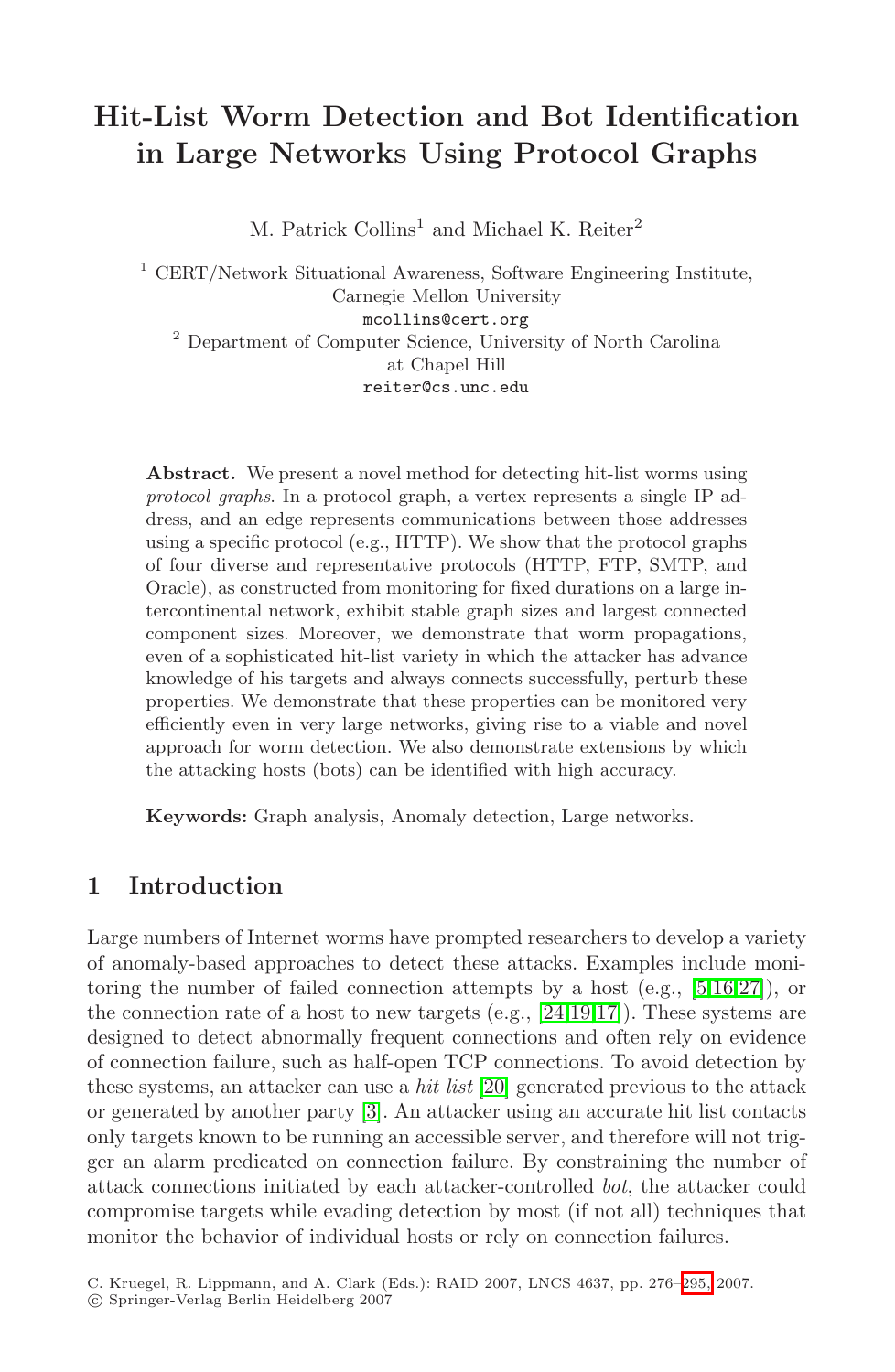# **Hit-List Worm Detection and Bot Identification in Large Networks Using Protocol Graphs**

M. Patrick Collins<sup>1</sup> and Michael K. Reiter<sup>2</sup>

<sup>1</sup> CERT/Network Situational Awareness, Software Engineering Institute, Carnegie Mellon University mcollins@cert.org <sup>2</sup> Department of Computer Science, University of North Carolina at Chapel Hill reiter@cs.unc.edu

**Abstract.** We present a novel method for detecting hit-list worms using protocol graphs. In a protocol graph, a vertex represents a single IP address, and an edge represents communications between those addresses using a specific protocol (e.g., HTTP). We show that the protocol graphs of four diverse and representative protocols (HTTP, FTP, SMTP, and Oracle), as constructed from monitoring for fixed durations on a large intercontinental network, exhibit stable graph sizes and largest connected component sizes. Moreover, we demonstrate that worm propagations, even of a sophisticated hit-list variety in which the attacker has advance knowledge of his targets and always connects successfully, perturb these properties. We demonstrate that these properties can be monitored very efficiently even in very large networks, giving rise to a viable and novel approach for worm detection. We also demonstrate extensions by which the attacking hosts (bots) can be identified with high accuracy.

**Keywords:** Graph analys[is,](#page-19-0) [Ano](#page-19-1)[ma](#page-19-2)ly detection, Large networks.

# **1 Introduction**

Large num[ber](#page-18-0)s of Internet worms have prompted researchers to develop a variety of anomaly-based approaches to detect these attacks. Examples include monitoring the number of failed connection attempts by a host (e.g., [5,16,27]), or the connection rate of a host to new targets (e.g., [24,19,17]). These systems are designed to detect abnormally frequent connections and often rely on evidence of connection failure, such as half-open TCP connections. To avoid detection by these systems, an attacker can use a hit list [20] [gen](#page-19-3)erated previous to the attack or generated by another party [3]. An attacker using an accurate hit list contacts only targets known to be running an accessible server, and therefore will not trigger an alarm predicated on connection failure. By constraining the number of attack connections initiated by each attacker-controlled bot, the attacker could compromise targets while evading detection by most (if not all) techniques that monitor the behavior of individual hosts or rely on connection failures.

C. Kruegel, R. Lippmann, and A. Clark (Eds.): RAID 2007, LNCS 4637, pp. 276–295, 2007.

<sup>-</sup>c Springer-Verlag Berlin Heidelberg 2007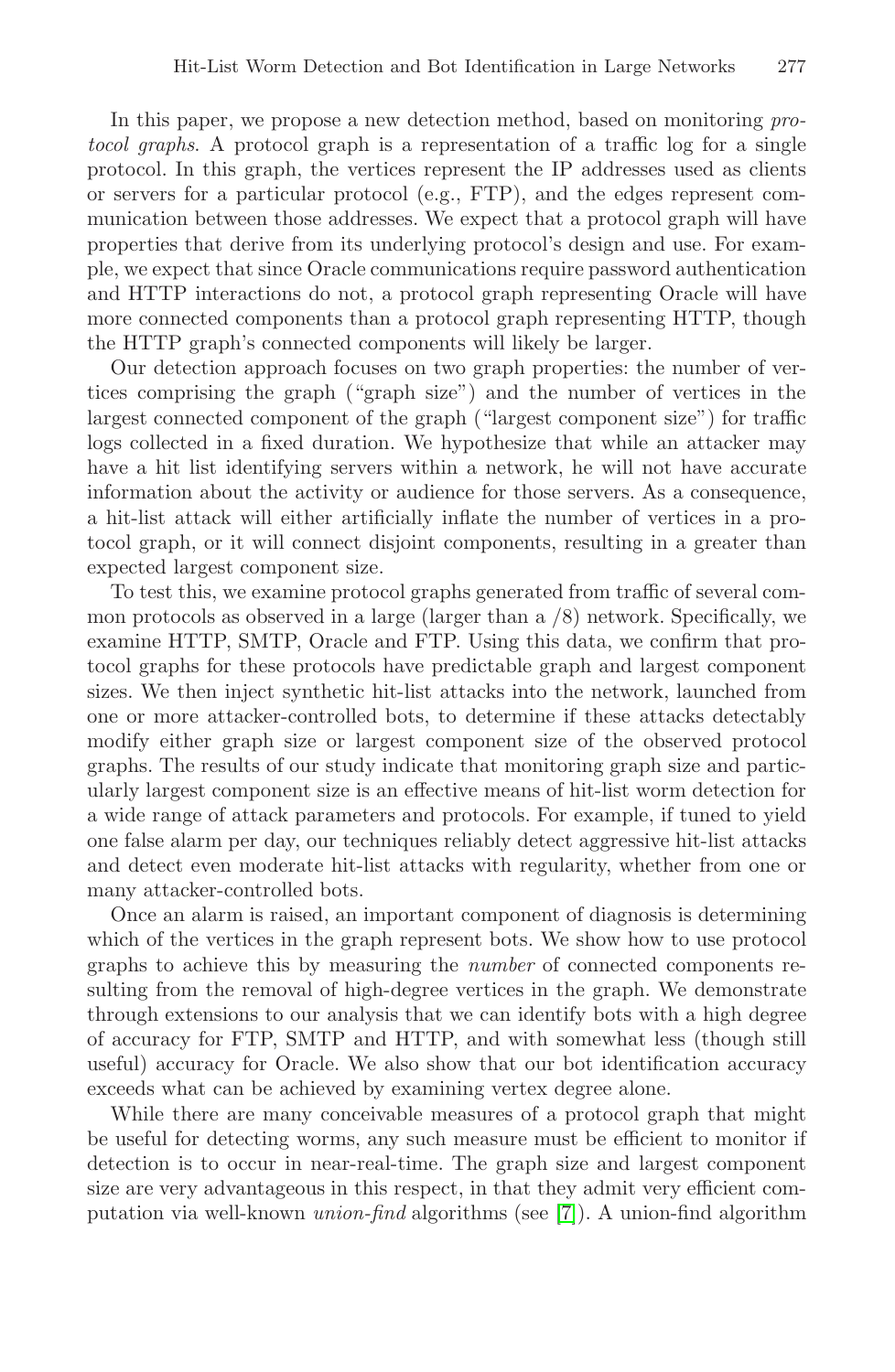In this paper, we propose a new detection method, based on monitoring protocol graphs. A protocol graph is a representation of a traffic log for a single protocol. In this graph, the vertices represent the IP addresses used as clients or servers for a particular protocol (e.g., FTP), and the edges represent communication between those addresses. We expect that a protocol graph will have properties that derive from its underlying protocol's design and use. For example, we expect that since Oracle communications require password authentication and HTTP interactions do not, a protocol graph representing Oracle will have more connected components than a protocol graph representing HTTP, though the HTTP graph's connected components will likely be larger.

Our detection approach focuses on two graph properties: the number of vertices comprising the graph ("graph size") and the number of vertices in the largest connected component of the graph ("largest component size") for traffic logs collected in a fixed duration. We hypothesize that while an attacker may have a hit list identifying servers within a network, he will not have accurate information about the activity or audience for those servers. As a consequence, a hit-list attack will either artificially inflate the number of vertices in a protocol graph, or it will connect disjoint components, resulting in a greater than expected largest component size.

To test this, we examine protocol graphs generated from traffic of several common protocols as observed in a large (larger than a  $/8$ ) network. Specifically, we examine HTTP, SMTP, Oracle and FTP. Using this data, we confirm that protocol graphs for these protocols have predictable graph and largest component sizes. We then inject synthetic hit-list attacks into the network, launched from one or more attacker-controlled bots, to determine if these attacks detectably modify either graph size or largest component size of the observed protocol graphs. The results of our study indicate that monitoring graph size and particularly largest component size is an effective means of hit-list worm detection for a wide range of attack parameters and protocols. For example, if tuned to yield one false alarm per day, our techniques reliably detect aggressive hit-list attacks and detect even moderate hit-list attacks with regularity, whether from one or many attacker-controlled bots.

Once an alarm is raised, an important component of diagnosis is determining which of the vertices in the graph represent bots. We show how to use protocol graphs to achieve this by measuring the number of connected components resulting from the removal of high-degree vertices in the graph. We demonstrate through extensions to our analys[is](#page-18-1) that we can identify bots with a high degree of accuracy for FTP, SMTP and HTTP, and with somewhat less (though still useful) accuracy for Oracle. We also show that our bot identification accuracy exceeds what can be achieved by examining vertex degree alone.

While there are many conceivable measures of a protocol graph that might be useful for detecting worms, any such measure must be efficient to monitor if detection is to occur in near-real-time. The graph size and largest component size are very advantageous in this respect, in that they admit very efficient computation via well-known union-find algorithms (see [7]). A union-find algorithm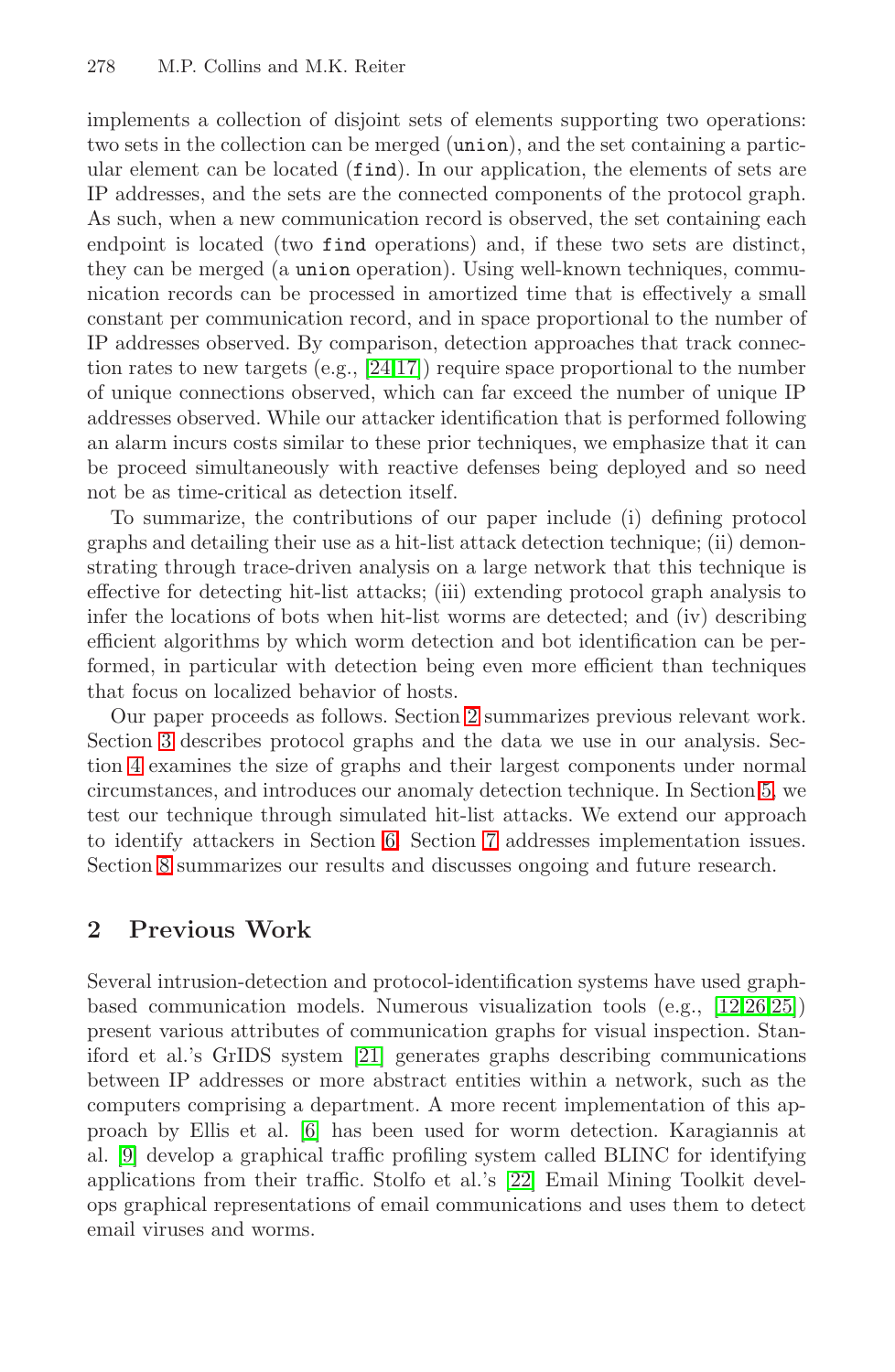#### 278 M.P. Collins and M.K. Reiter

implements a collection of disjoint sets of elements supporting two operations: two sets in the collection can be merged (union), and the set containing a particular elemen[t ca](#page-19-0)[n b](#page-19-2)e located (find). In our application, the elements of sets are IP addresses, and the sets are the connected components of the protocol graph. As such, when a new communication record is observed, the set containing each endpoint is located (two find operations) and, if these two sets are distinct, they can be merged (a union operation). Using well-known techniques, communication records can be processed in amortized time that is effectively a small constant per communication record, and in space proportional to the number of IP addresses observed. By comparison, detection approaches that track connection rates to new targets (e.g., [24,17]) require space proportional to the number of unique connections observed, which can far exceed the number of unique IP addresses observed. While our attacker identification that is performed following an alarm incurs costs similar to these prior techniques, we emphasize that it can be proceed simultaneously with reactive defenses being deployed and so need not be as time-critical as detection itself.

To summarize, the [co](#page-2-0)ntributions of our paper include (i) defining protocol graphs and detailing their use as a hit-list attack detection technique; (ii) demonstrating through trace-driven analysis on a large network that this technique is effective for detecting hit-list attacks; (iii) extending p[rot](#page-8-0)ocol graph analysis to infer the locations of bots when hit-list worms are detected; and (iv) describing efficient algor[ith](#page-13-0)ms by w[hi](#page-16-0)ch worm detection and bot identification can be performed, in particular with detection being even more efficient than techniques that focus on localized behavior of hosts.

<span id="page-2-0"></span>Our paper proceeds as follows. Section 2 summarizes previous relevant work. Section 3 describes protocol graphs and the data we use in our analysis. Section 4 examines the size of graphs and their largest components under normal circumstances, and introduces our anomaly detection technique. In Section 5, we test our technique through simulated hit-list atta[cks.](#page-19-4) [W](#page-19-5)[e e](#page-19-6)xtend our approach to identify attackers in Section 6. Section 7 addresses implementation issues. Section 8 s[um](#page-19-7)marizes our results and discusses ongoing and future research.

## **2 [P](#page-18-2)revious Work**

Several intrusion-detection [and](#page-19-8) protocol-identification systems have used graphbased communication models. Numerous visualization tools (e.g., [12,26,25]) present various attributes of communication graphs for visual inspection. Staniford et al.'s GrIDS system [21] generates graphs describing communications between IP addresses or more abstract entities within a network, such as the computers comprising a department. A more recent implementation of this approach by Ellis et al. [6] has been used for worm detection. Karagiannis at al. [9] develop a graphical traffic profiling system called BLINC for identifying applications from their traffic. Stolfo et al.'s [22] Email Mining Toolkit develops graphical representations of email communications and uses them to detect email viruses and worms.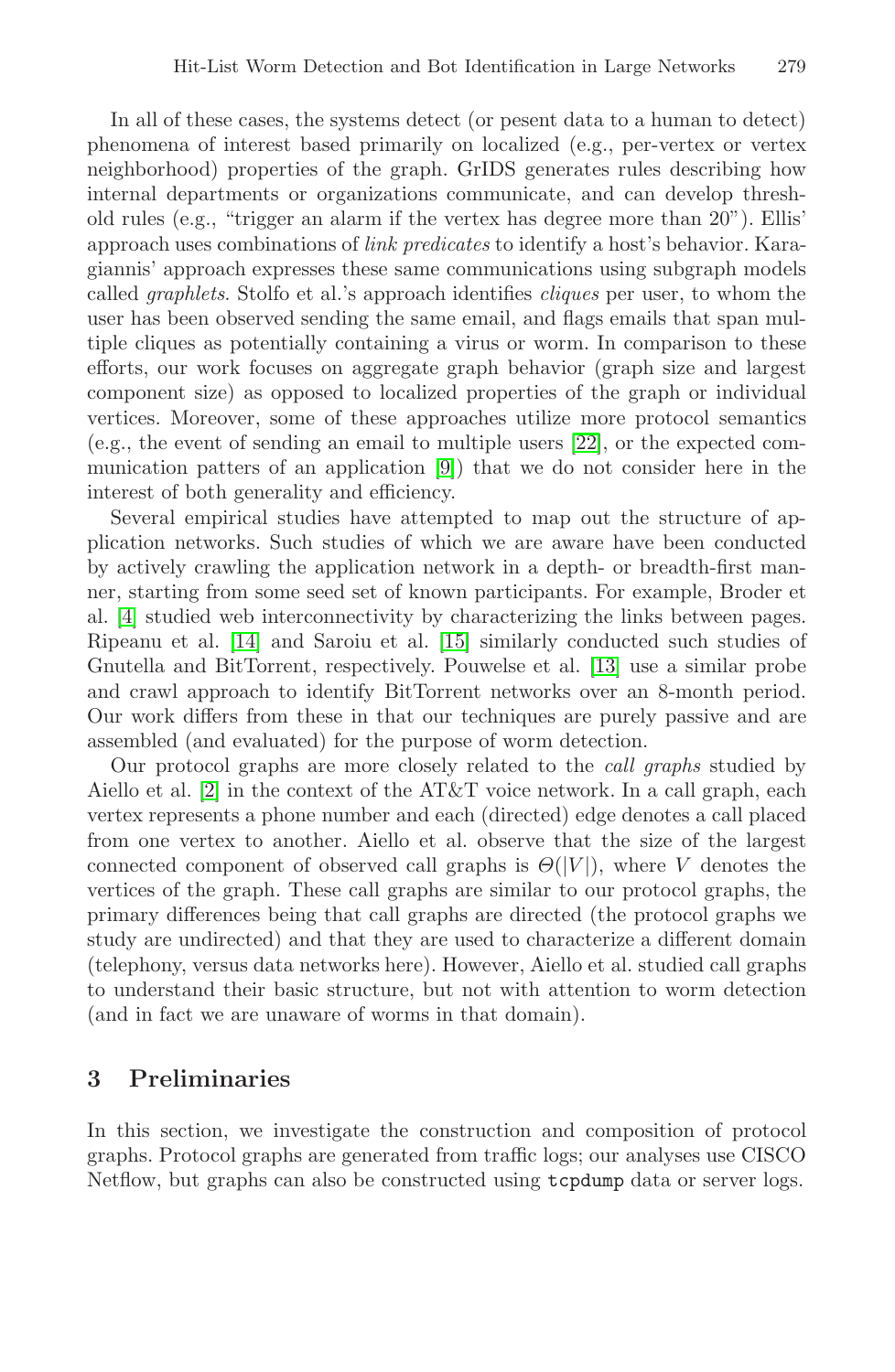In all of these cases, the systems detect (or pesent data to a human to detect) phenomena of interest based primarily on localized (e.g., per-vertex or vertex neighborhood) properties of the graph. GrIDS generates rules describing how internal departments or organizations communicate, and can develop threshold rules (e.g., "trigger an alarm if the vertex has degree more than 20"). Ellis' approach uses combinations of link [pre](#page-19-8)dicates to identify a host's behavior. Karagiannis' approach e[xp](#page-18-3)resses these same communications using subgraph models called graphlets. Stolfo et al.'s approach identifies cliques per user, to whom the user has been observed sending the same email, and flags emails that span multiple cliques as potentially containing a virus or worm. In comparison to these efforts, our work focuses on aggregate graph behavior (graph size and largest component size) as opposed to localized properties of the graph or individual vertices. Moreover, some of these approaches utilize more protocol semantics (e.g., the event of se[ndi](#page-19-9)ng an email to multiple users [22], or the expected communication patters of an applicatio[n \[9](#page-19-10)]) that we do not consider here in the interest of both generality and efficiency.

Several empirical studies have attempted to map out the structure of application networks. Such studies of which we are aware have been conducted by actively crawling the application network in a depth- or breadth-first manner, starting from some seed set of known participants. For example, Broder et al. [4] studied web interconnectivity by characterizing the links between pages. Ripeanu et al. [14] and Saroiu et al. [15] similarly conducted such studies of Gnutella and BitTorrent, respectively. Pouwelse et al. [13] use a similar probe and crawl approach to identify BitTorrent networks over an 8-month period. Our work differs from these in that our techniques are purely passive and are assembled (and evaluated) for the purpose of worm detection.

Our protocol graphs are more closely related to the call graphs studied by Aiello et al. [2] in the context of the AT&T voice network. In a call graph, each vertex represents a phone number and each (directed) edge denotes a call placed from one vertex to another. Aiello et al. observe that the size of the largest connected component of observed call graphs is  $\Theta(|V|)$ , where V denotes the vertices of the graph. These call graphs are similar to our protocol graphs, the primary differences being that call graphs are directed (the protocol graphs we study are undirected) and that they are used to characterize a different domain (telephony, versus data networks here). However, Aiello et al. studied call graphs to understand their basic structure, but not with attention to worm detection (and in fact we are unaware of worms in that domain).

# **3 Preliminaries**

In this section, we investigate the construction and composition of protocol graphs. Protocol graphs are generated from traffic logs; our analyses use CISCO Netflow, but graphs can also be constructed using tcpdump data or server logs.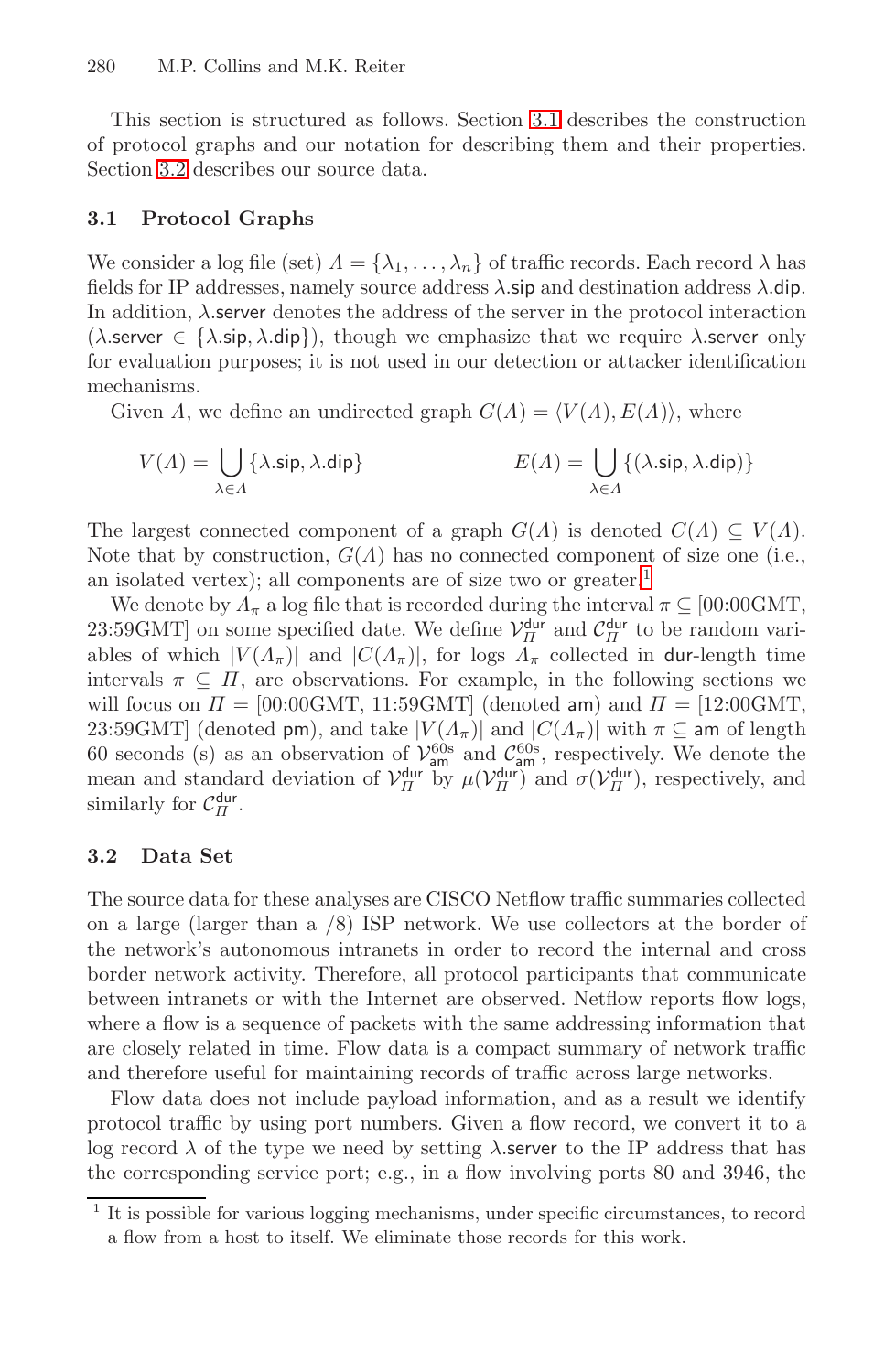#### 280 M.P. Collins and M.K. Reiter

This section is structured as follows. Section 3.1 describes the construction of protocol graphs and our notation for describing them and their properties. Section 3.2 describes our source data.

### **3.1 Protocol Graphs**

We consider a log file (set)  $\Lambda = {\lambda_1, \ldots, \lambda_n}$  of traffic records. Each record  $\lambda$  has fields for IP addresses, namely source address  $\lambda$ .sip and destination address  $\lambda$ .dip. In addition,  $\lambda$  server denotes the address of the server in the protocol interaction ( $\lambda$ .server  $\in \{\lambda$ .sip,  $\lambda$ .dip $\}$ ), though we emphasize that we require  $\lambda$ .server only for evaluation purposes; it is not used in our detection or attacker identification mechanisms.

Given  $\Lambda$ , we define an undirected graph  $G(\Lambda) = \langle V(\Lambda), E(\Lambda) \rangle$ , where

$$
V(\Lambda) = \bigcup_{\lambda \in \Lambda} \{ \lambda.\mathsf{sip}, \lambda.\mathsf{dip} \} \qquad E(\Lambda) = \bigcup_{\lambda \in \Lambda} \{ (\lambda.\mathsf{sip}, \lambda.\mathsf{dip}) \}
$$

The largest connected component of a graph  $G(\Lambda)$  is denoted  $C(\Lambda) \subseteq V(\Lambda)$ . Note that by construction,  $G(\Lambda)$  has no connected component of size one (i.e., an isolated vertex); all components are of size two or greater.<sup>1</sup>

We denote by  $\Lambda_{\pi}$  a log file that is recorded during the interval  $\pi \subseteq [00:00GMT]$ , 23:59 GMT on some specified date. We define  $\mathcal{V}_{\Pi}^{\text{dur}}$  and  $\mathcal{C}_{\Pi}^{\text{dur}}$  to be random variables of which  $|V(\Lambda_{\pi})|$  and  $|C(\Lambda_{\pi})|$ , for logs  $\Lambda_{\pi}$  collected in dur-length time intervals  $\pi \subseteq \Pi$ , are observations. For example, in the following sections we will focus on  $\Pi = [00:00GMT, 11:59GMT]$  (denoted am) and  $\Pi = [12:00GMT, 11:59GMT]$ 23:59GMT] (denoted pm), and take  $|V(A_{\pi})|$  and  $|C(A_{\pi})|$  with  $\pi \subseteq$  am of length 60 seconds (s) as an observation of  $V_{am}^{60s}$  and  $C_{am}^{60s}$ , respectively. We denote the mean and standard deviation of  $\mathcal{V}_{\Pi}^{\text{dur}}$  by  $\mu(\mathcal{V}_{\Pi}^{\text{dur}})$  and  $\sigma(\mathcal{V}_{\Pi}^{\text{dur}})$ , respectively, and similarly for  $C_{\Pi}^{\text{dur}}$ .

#### **3.2 Data Set**

The source data for these analyses are CISCO Netflow traffic summaries collected on a large (larger than a /8) ISP network. We use collectors at the border of the network's autonomous intranets in order to record the internal and cross border network activity. Therefore, all protocol participants that communicate between intranets or with the Internet are observed. Netflow reports flow logs, where a flow is a sequence of packets with the same addressing information that are closely related in time. Flow data is a compact summary of network traffic and therefore useful for maintaining records of traffic across large networks.

Flow data does not include payload information, and as a result we identify protocol traffic by using port numbers. Given a flow record, we convert it to a log record  $\lambda$  of the type we need by setting  $\lambda$  server to the IP address that has the corresponding service port; e.g., in a flow involving ports 80 and 3946, the

<sup>1</sup> It is possible for various logging mechanisms, under specific circumstances, to record a flow from a host to itself. We eliminate those records for this work.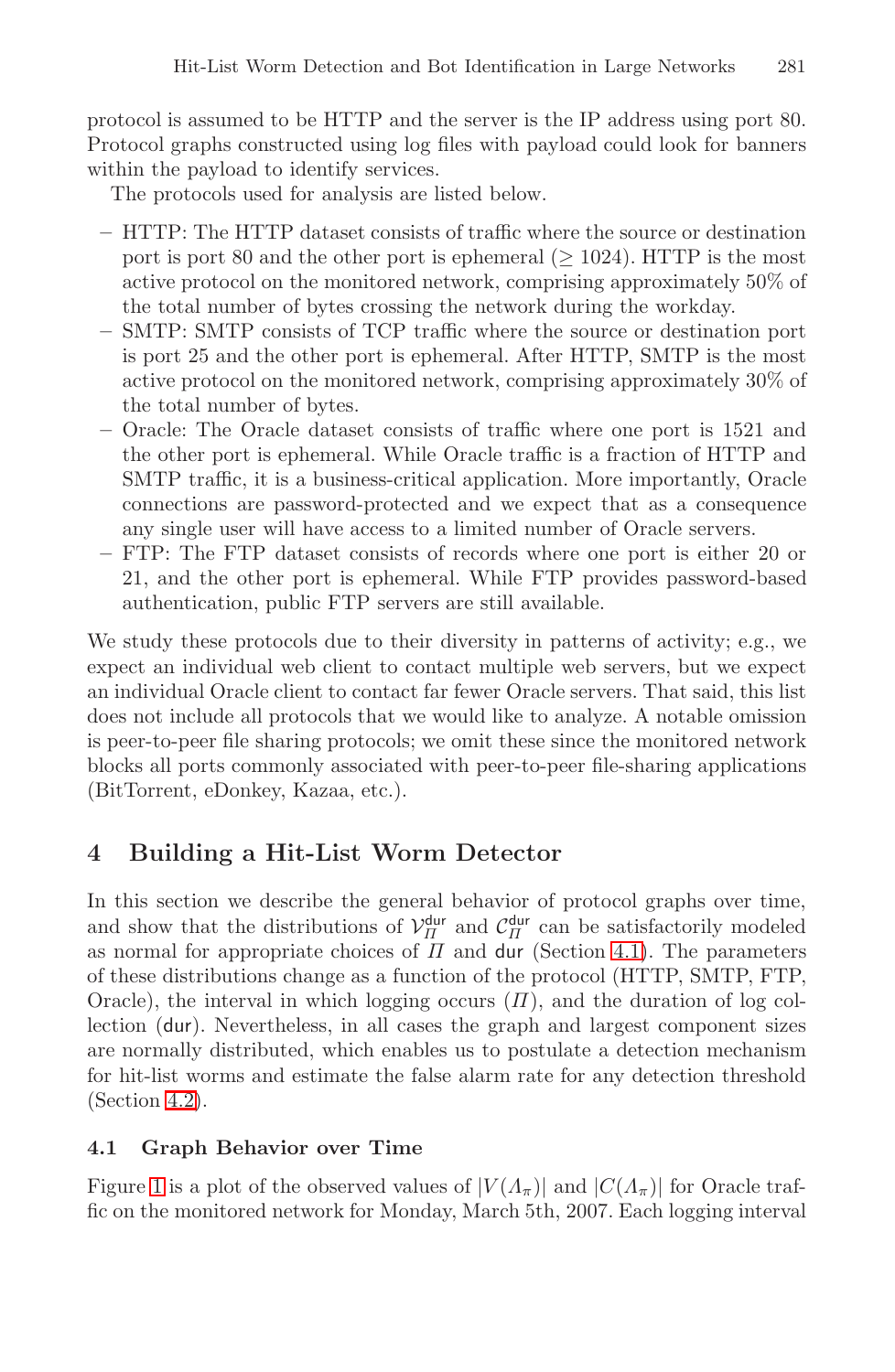protocol is assumed to be HTTP and the server is the IP address using port 80. Protocol graphs constructed using log files with payload could look for banners within the payload to identify services.

The protocols used for analysis are listed below.

- **–** HTTP: The HTTP dataset consists of traffic where the source or destination port is port 80 and the other port is ephemeral  $(>1024)$ . HTTP is the most active protocol on the monitored network, comprising approximately 50% of the total number of bytes crossing the network during the workday.
- **–** SMTP: SMTP consists of TCP traffic where the source or destination port is port 25 and the other port is ephemeral. After HTTP, SMTP is the most active protocol on the monitored network, comprising approximately 30% of the total number of bytes.
- **–** Oracle: The Oracle dataset consists of traffic where one port is 1521 and the other port is ephemeral. While Oracle traffic is a fraction of HTTP and SMTP traffic, it is a business-critical application. More importantly, Oracle connections are password-protected and we expect that as a consequence any single user will have access to a limited number of Oracle servers.
- **–** FTP: The FTP dataset consists of records where one port is either 20 or 21, and the other port is ephemeral. While FTP provides password-based authentication, public FTP servers are still available.

<span id="page-5-1"></span>We study these protocols due to their diversity in patterns of activity; e.g., we expect an individual web client to contact multiple web servers, but we expect an individual Oracle client to contact far fewer Oracle servers. That said, this list does not include all protocols that we would like to analyze. A notable omission is peer-to-peer file sharing protocols; we omit these since the monitored network blocks all ports commonly associated [with](#page-5-0) peer-to-peer file-sharing applications (BitTorrent, eDonkey, Kazaa, etc.).

## **4 Building a Hit-List Worm Detector**

<span id="page-5-0"></span>In this section we describe the general behavior of protocol graphs over time, and show that the distributions of  $\mathcal{V}_{\Pi}^{\text{dur}}$  and  $\mathcal{C}_{\Pi}^{\text{dur}}$  can be satisfactorily modeled as normal for appropriate choices of  $\Pi$  and dur (Section 4.1). The parameters of these distributions change as a function of the protocol (HTTP, SMTP, FTP, Oracle), the interval in which logging occurs  $(H)$ , and the duration of log collection (dur). Nevertheless, in all cases the graph and largest component sizes are normally distributed, which enables us to postulate a detection mechanism for hit-list worms and estimate the false alarm rate for any detection threshold (Section 4.2).

### **4.1 Graph Behavior over Time**

Figure 1 is a plot of the observed values of  $|V(\Lambda_{\pi})|$  and  $|C(\Lambda_{\pi})|$  for Oracle traffic on the monitored network for Monday, March 5th, 2007. Each logging interval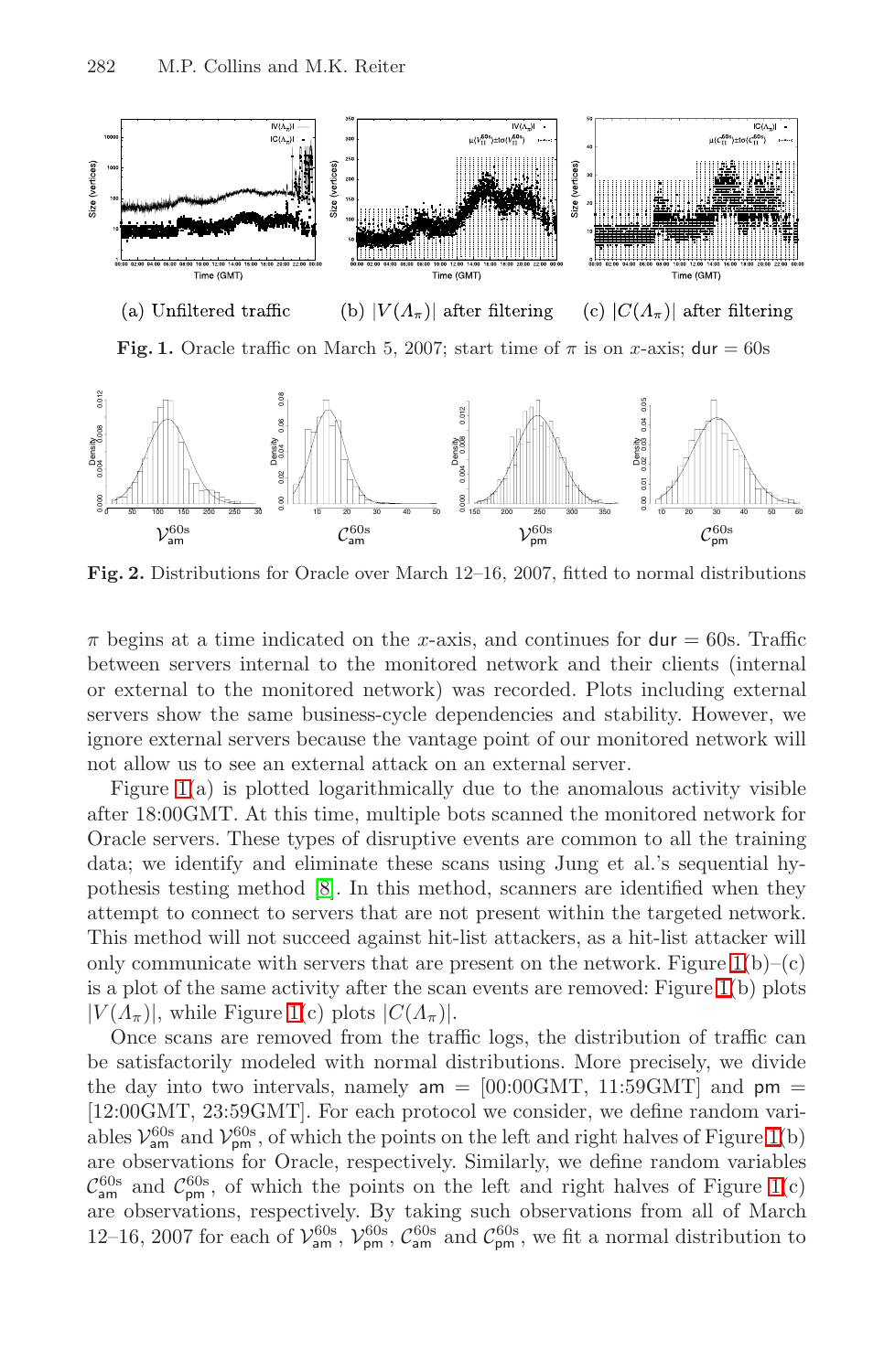<span id="page-6-0"></span>

**Fig. 1.** Oracle traffic on March 5, 2007; start time of  $\pi$  is on x-axis; dur = 60s

<span id="page-6-1"></span>

**Fig. 2.** Distributions for Oracle over March 12–16, 2007, fitted to normal distributions

 $\pi$  begins at a time indicated on the x-axis, and continues for dur = 60s. Traffic between servers internal to the monitored network and their clients (internal or ext[ern](#page-18-4)al to the monitored network) was recorded. Plots including external servers show the same business-cycle dependencies and stability. However, we ignore external servers because the vantage point of our monitored network will not allow us to see an external attack on an extern[al s](#page-6-0)erver.

Figure 1(a) is plotted logarithmically due to t[he](#page-6-0) anomalous activity visible aft[er](#page-6-0) 18:00GMT. At this time, multiple bots scanned the monitored network for Oracle servers. These types of disruptive events are common to all the training data; we identify and eliminate these scans using Jung et al.'s sequential hypothesis testing method [8]. In this method, scanners are identified when they attempt to connect to servers that are not present within the targeted network. This method will not succeed against hit-list attackers, [as](#page-6-0) a hit-list attacker will only communicate with servers that are present on the network. Figure  $1(b)$ –(c) is a plot of the same activity after the scan events are re[mo](#page-6-0)ved: Figure 1(b) plots  $|V(\Lambda_{\pi})|$ , while Figure 1(c) plots  $|C(\Lambda_{\pi})|$ .

Once scans are removed from the traffic logs, the distribution of traffic can be satisfactorily modeled with normal distributions. More precisely, we divide the day into two intervals, namely  $am = [00:00GMT, 11:59GMT]$  and  $pm =$ [12:00GMT, 23:59GMT]. For each protocol we consider, we define random variables  $\mathcal{V}_{am}^{60s}$  and  $\mathcal{V}_{pm}^{60s}$ , of which the points on the left and right halves of Figure 1(b) are observations for Oracle, respectively. Similarly, we define random variables  $\mathcal{C}_{am}^{60s}$  and  $\mathcal{C}_{pm}^{60s}$ , of which the points on the left and right halves of Figure 1(c) are observations, respectively. By taking such observations from all of March 12–16, 2007 for each of  $\mathcal{V}_{am}^{60s}$ ,  $\mathcal{V}_{pm}^{60s}$ ,  $\mathcal{C}_{am}^{60s}$  and  $\mathcal{C}_{pm}^{60s}$ , we fit a normal distribution to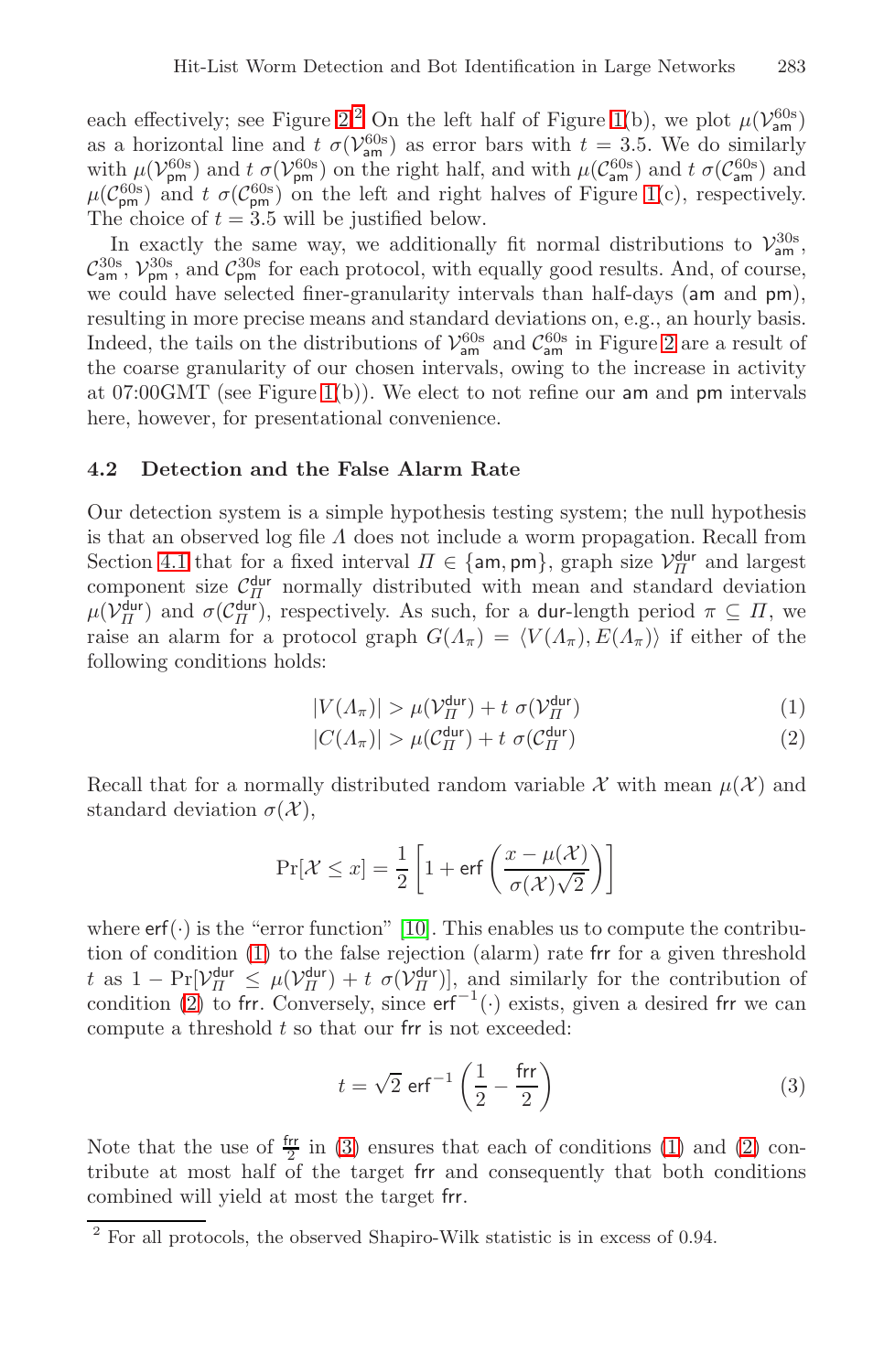each effectively; see Figure 2.<sup>2</sup> On the left half of Figure 1(b), we plot  $\mu(\mathcal{V}_{am}^{60s})$ as a horizontal line and  $t \sigma(\mathcal{V}_{am}^{60s})$  as error [ba](#page-6-1)rs with  $t = 3.5$ . We do similarly with  $\mu(\mathcal{V}_{\text{pm}}^{60s})$  and  $t \sigma(\mathcal{V}_{\text{pm}}^{60s})$  on the right half, and with  $\mu(\mathcal{C}_{\text{am}}^{60s})$  and  $t \sigma(\mathcal{C}_{\text{am}}^{60s})$  and  $\mu(\mathcal{C}_{\text{pm}}^{60s})$  and t  $\sigma(\mathcal{C}_{\text{pm}}^{60s})$  on the left and right halves of Figure 1(c), respectively. The choice of  $t = 3.5$  will be justified below.

<span id="page-7-2"></span>In exactly the same way, we additionally fit normal distributions to  $\mathcal{V}_{am}^{30s}$ ,  $C^{30s}_{am}$ ,  $V^{30s}_{pm}$ , and  $C^{30s}_{pm}$  for each protocol, with equally good results. And, of course, we could have selected finer-granularity intervals than half-days (am and pm), resulting in more precise means and standard deviations on, e.g., an hourly basis. Indeed, the tails on the distributions of  $V_{am}^{60s}$  and  $C_{am}^{60s}$  in Figure 2 are a result of the coarse granularity of our chosen intervals, owing to the increase in activity at 07:00GMT (see Figure 1(b)). We elect to not refine our am and pm intervals here, however, for presentational convenience.

### **4.2 Detection and the False Alarm Rate**

<span id="page-7-1"></span>Our detection system is a simple hypothesis testing system; the null hypothesis is that an observed log file  $\Lambda$  does not include a worm propagation. Recall from Section 4.1 that for a fixed interval  $\Pi \in \{\text{am}, \text{pm}\}$ , graph size  $\mathcal{V}_{\Pi}^{\text{dur}}$  and largest component size  $\mathcal{C}_{\Pi}^{\text{dur}}$  normally distributed with mean and standard deviation  $\mu(\mathcal{V}_{\Pi}^{\text{dur}})$  and  $\sigma(\mathcal{C}_{\Pi}^{\text{dur}})$ , respectively. As such, for a dur-length period  $\pi \subseteq \Pi$ , we raise an alarm for a protocol graph  $G(\Lambda_{\pi}) = \langle V(\Lambda_{\pi}), E(\Lambda_{\pi})\rangle$  if either of the following conditions holds:

$$
|V(\Lambda_{\pi})| > \mu(V_{\Pi}^{\text{dur}}) + t \sigma(V_{\Pi}^{\text{dur}})
$$
\n(1)

$$
|C(\Lambda_{\pi})| > \mu(\mathcal{C}_{\Pi}^{\text{dur}}) + t \sigma(\mathcal{C}_{\Pi}^{\text{dur}})
$$
\n(2)

Recall that for a normally distributed random variable X with mean  $\mu(\mathcal{X})$  and standard deviation  $\sigma(\mathcal{X})$ ,

<span id="page-7-0"></span>
$$
\Pr[\mathcal{X} \le x] = \frac{1}{2} \left[ 1 + \text{erf}\left( \frac{x - \mu(\mathcal{X})}{\sigma(\mathcal{X})\sqrt{2}} \right) \right]
$$

where  $\text{erf}(\cdot)$  is the "error function" [10]. This enables us to compute the contribution of c[on](#page-7-0)dition (1) to the false rejection (a[lar](#page-7-1)m) ra[te](#page-7-1) frr for a given threshold t as  $1 - \Pr[\mathcal{V}_{\Pi}^{\text{dur}}] \leq \mu(\mathcal{V}_{\Pi}^{\text{dur}}) + t \sigma(\mathcal{V}_{\Pi}^{\text{dur}})],$  and similarly for the contribution of condition (2) to frr. Conversely, since  $erf^{-1}(\cdot)$  exists, given a desired frr we can compute a threshold  $t$  so that our frr is not exceeded:

$$
t = \sqrt{2} \text{ erf}^{-1} \left( \frac{1}{2} - \frac{\text{frr}}{2} \right) \tag{3}
$$

Note that the use of  $\frac{frr}{2}$  in (3) ensures that each of conditions (1) and (2) contribute at most half of the target frr and consequently that both conditions combined will yield at most the target frr.

 $\frac{2}{1}$  For all protocols, the observed Shapiro-Wilk statistic is in excess of 0.94.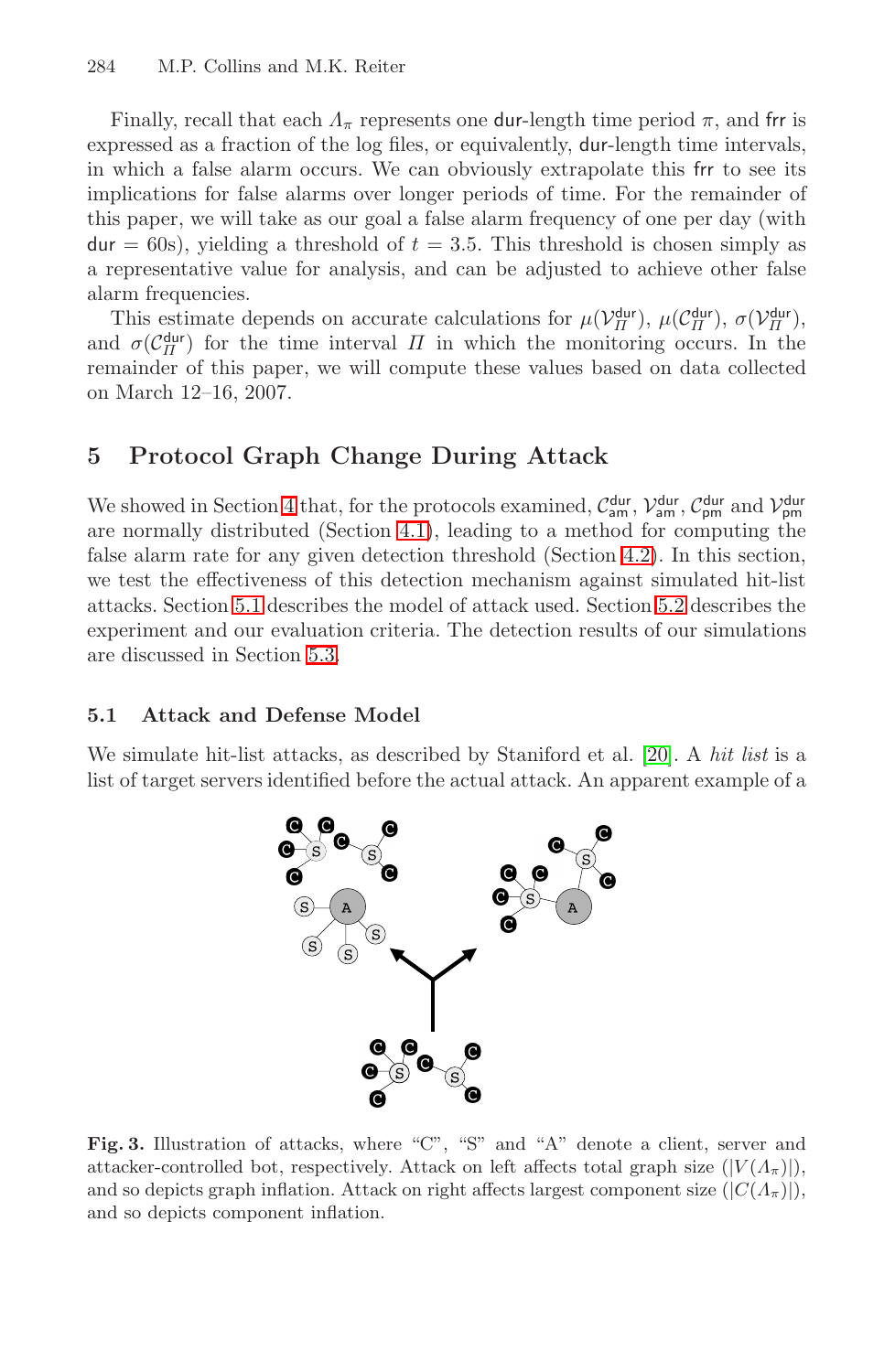#### 284 M.P. Collins and M.K. Reiter

Finally, recall that each  $\Lambda_{\pi}$  represents one dur-length time period  $\pi$ , and frr is expressed as a fraction of the log files, or equivalently, dur-length time intervals, in which a false alarm occurs. We can obviously extrapolate this frr to see its implications for false alarms over longer periods of time. For the remainder of this paper, we will take as our goal a false alarm frequency of one per day (with  $dur = 60s$ , yielding a threshold of  $t = 3.5$ . This threshold is chosen simply as a representative value for analysis, and can be adjusted to achieve other false alarm frequencies.

<span id="page-8-0"></span>[Th](#page-5-1)is estimate depends on accurate calculations for  $\mu(\mathcal{V}_{\Pi}^{\text{dur}}), \mu(\mathcal{C}_{\Pi}^{\text{dur}}), \sigma(\mathcal{V}_{\Pi}^{\text{dur}}),$ and  $\sigma(C_{II}^{\text{dur}})$  fo[r th](#page-5-0)e time interval  $II$  in which the monitoring occurs. In the remainder of this paper, we will compu[te t](#page-7-2)hese values based on data collected on March 12–16, 2007.

# **5 [Pro](#page-11-0)tocol Graph Change During Attack**

<span id="page-8-1"></span>We showed in Section 4 that, for the protocols examined,  $\mathcal{C}_{am}^{dur}$ ,  $\mathcal{V}_{am}^{dur}$ ,  $\mathcal{C}_{pm}^{dur}$  and  $\mathcal{V}_{pm}^{dur}$ are normally distributed (Section 4.1), leading to a method for computing the false alarm rate for any given detection th[resh](#page-19-11)old (Section 4.2). In this section, we test the effectiveness of this detection mechanism against simulated hit-list attacks. Section 5.1 describes the model of attack used. Section 5.2 describes the experiment and our evaluation criteria. The detection results of our simulations are discussed in Section 5.3.

### **5.1 Attack and Defense Model**

We simulate hit-list attacks, as described by Staniford et al. [20]. A hit list is a list of target servers identified before the actual attack. An apparent example of a



Fig. 3. Illustration of attacks, where "C", "S" and "A" denote a client, server and attacker-controlled bot, respectively. Attack on left affects total graph size  $(|V(\Lambda_{\pi})|)$ , and so depicts graph inflation. Attack on right affects largest component size  $(|C(\Lambda_{\pi})|)$ , and so depicts component inflation.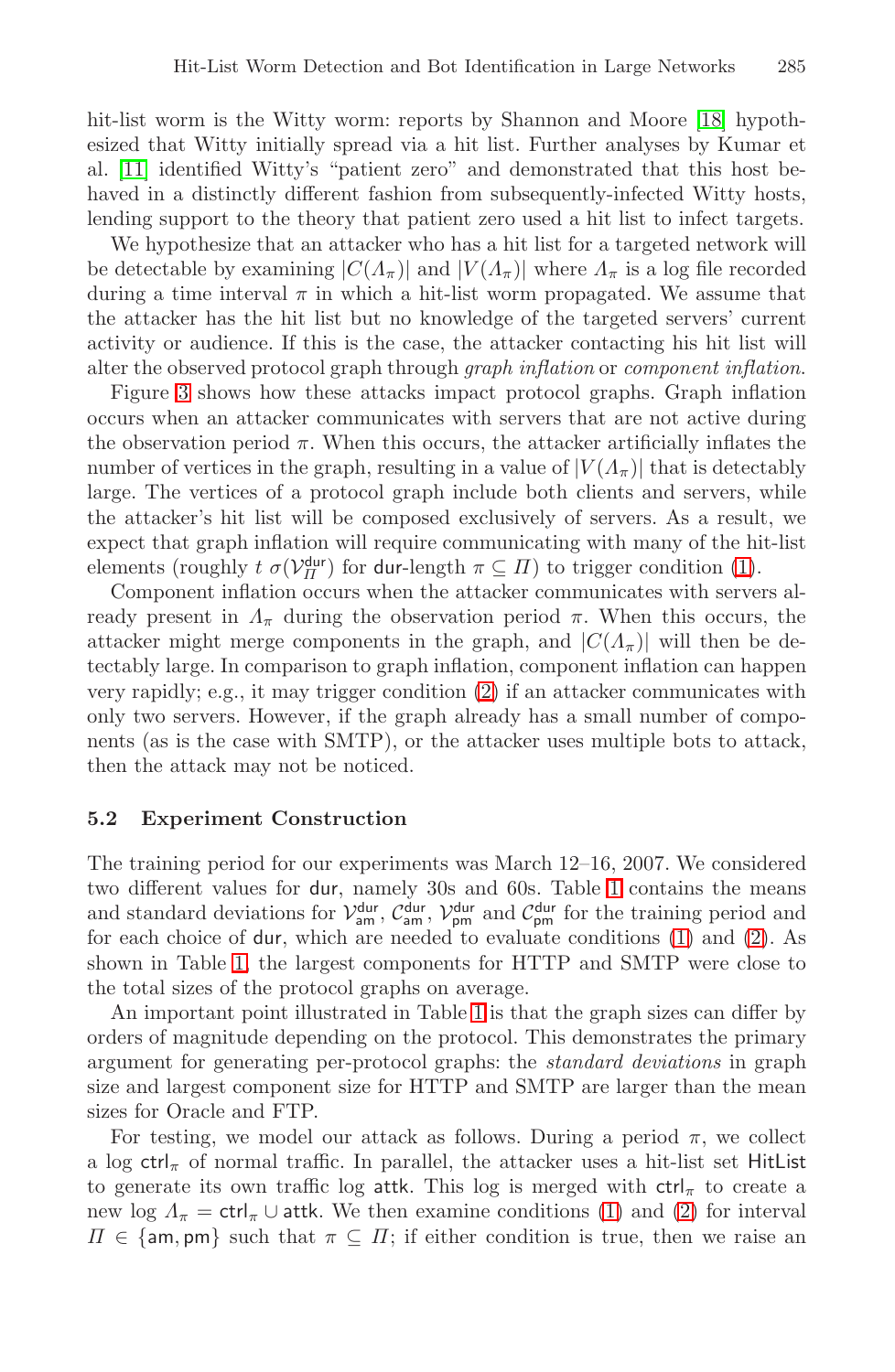hit-list worm is the Witty worm: reports by Shannon and Moore [18] hypothesized that Witty initially spread via a hit list. Further analyses by Kumar et al. [11] identified Witty's "patient zero" and demonstrated that this host behaved in a distinctly different fashion from subsequently-infected Witty hosts, lending support to the theory that patient zero used a hit list to infect targets.

We hypothesize that an attacker who has a hit list for a targeted network will be detectable by examining  $|C(\Lambda_{\pi})|$  and  $|V(\Lambda_{\pi})|$  where  $\Lambda_{\pi}$  is a log file recorded during a time interval  $\pi$  in which a hit-list worm propagated. We assume that the attacker has the hit list but no knowledge of the targeted servers' current activity or audience. If this is the case, the attacker contacting his hit list will alter the observed protocol graph through graph infla[tio](#page-7-1)n or component inflation.

Figure 3 shows how these attacks impact protocol graphs. Graph inflation occurs when an attacker communicates with servers that are not active during the observation period  $\pi$ . When this occurs, the attacker artificially inflates the number of vertices in the graph, resulting in a value of  $|V(A_\pi)|$  that is detectably large. The vertices of a [pr](#page-7-1)otocol graph include both clients and servers, while the attacker's hit list will be composed exclusively of servers. As a result, we expect that graph inflation will require communicating with many of the hit-list elements (roughly  $t \sigma(\mathcal{V}_{\Pi}^{\text{dur}})$  for dur-length  $\pi \subseteq \Pi$ ) to trigger condition (1).

Component inflation occurs when the attacker communicates with servers already present in  $\Lambda_{\pi}$  during the observation period  $\pi$ . When this occurs, the attacker might merge components in the graph, and  $|C(\Lambda_{\pi})|$  will then be detectably large. In comparison to graph inflation, component inflation can happen very rapidly; e.g., it may trigger condi[tio](#page-10-0)n (2) if an attacker communicates with only two servers. However, if the graph already has a small number of components (as is the case with SMTP), or the att[ack](#page-7-1)er use[s m](#page-7-1)ultiple bots to attack, then the attack may not be noticed.

### **5.2 Experiment C[on](#page-10-0)struction**

The training period for our experiments was March 12–16, 2007. We considered two different values for dur, namely 30s and 60s. Table 1 contains the means and standard deviations for  $\mathcal{V}_{am}^{dur}$ ,  $\mathcal{C}_{am}^{dur}$ ,  $\mathcal{V}_{pm}^{dur}$  and  $\mathcal{C}_{pm}^{dur}$  for the training period and for each choice of dur, which are needed to evaluate conditions (1) and (2). As shown in Table 1, the largest components for HTTP and SMTP were close to the total sizes of the protocol graphs on average.

An important point illustrated in [Tab](#page-7-1)le 1 is [th](#page-7-1)at the graph sizes can differ by orders of magnitude depending on the protocol. This demonstrates the primary argument for generating per-protocol graphs: the standard deviations in graph size and largest component size for HTTP and SMTP are larger than the mean sizes for Oracle and FTP.

For testing, we model our attack as follows. During a period  $\pi$ , we collect a log ctrl<sub>π</sub> of normal traffic. In parallel, the attacker uses a hit-list set HitList to generate its own traffic log attk. This log is merged with  $\text{ctrl}_{\pi}$  to create a new log  $\Lambda_{\pi} = \text{ctrl}_{\pi} \cup \text{attk}$ . We then examine conditions (1) and (2) for interval  $\Pi \in \{\text{am}, \text{pm}\}\$  such that  $\pi \subseteq \Pi$ ; if either condition is true, then we raise an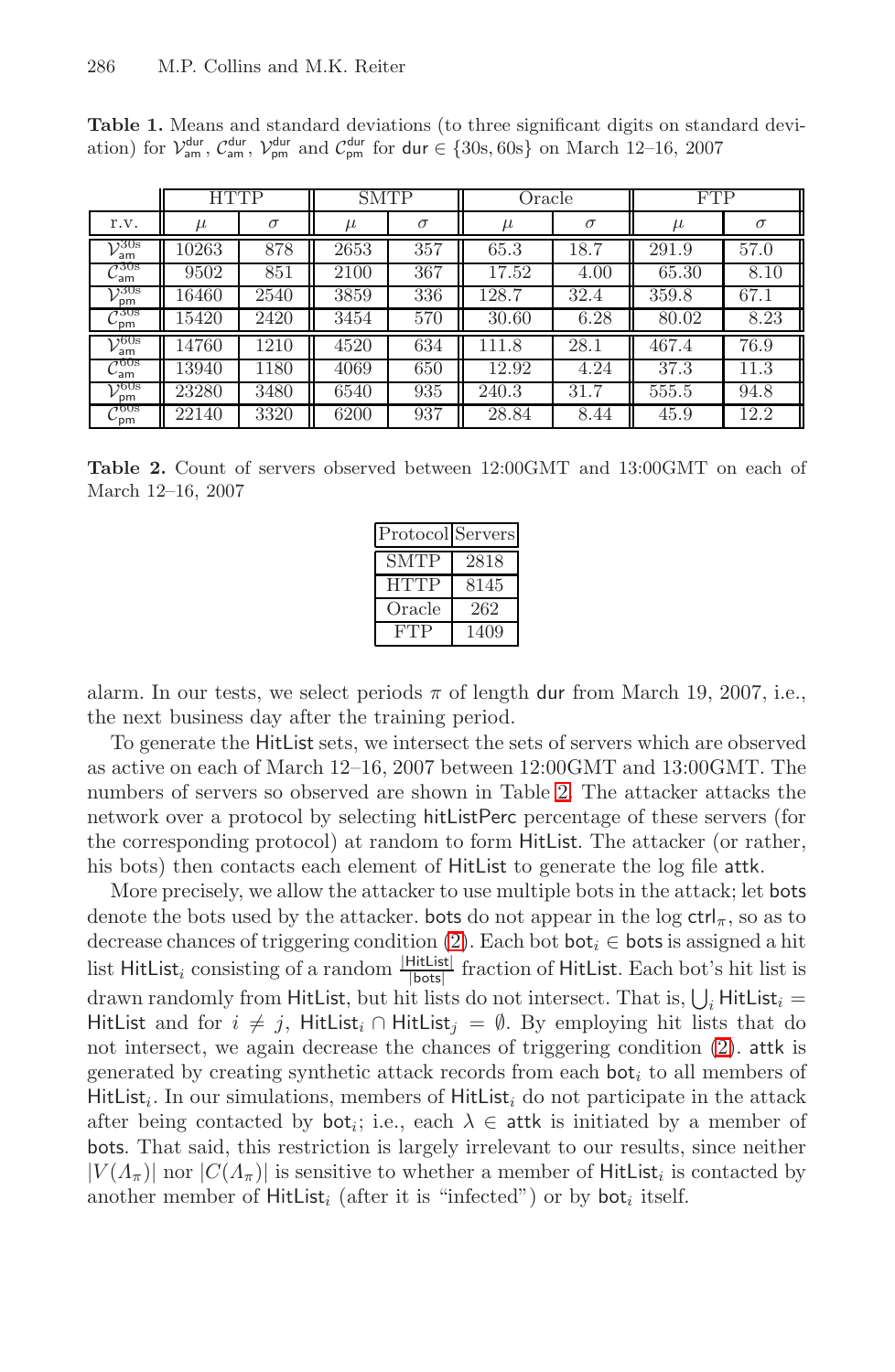<span id="page-10-1"></span>

|                                                            | <b>HTTP</b> |          | <b>SMTP</b> |          | Oracle |          | <b>FTP</b> |          |  |
|------------------------------------------------------------|-------------|----------|-------------|----------|--------|----------|------------|----------|--|
| r.v.                                                       | $\mu$       | $\sigma$ | $\mu$       | $\sigma$ | $\mu$  | $\sigma$ | $\mu$      | $\sigma$ |  |
| ,30s<br>$\nu$ am                                           | 10263       | 878      | 2653        | 357      | 65.3   | 18.7     | 291.9      | 57.0     |  |
| $\sigma$ 30s<br>$\mathsf{v}_\mathsf{am}$                   | 9502        | 851      | 2100        | 367      | 17.52  | 4.00     | 65.30      | 8.10     |  |
| ,30s<br>γ <sub>pm</sub>                                    | 16460       | 2540     | 3859        | 336      | 128.7  | 32.4     | 359.8      | 67.1     |  |
| $\sigma$ 30s<br>∽pm                                        | 15420       | 2420     | 3454        | 570      | 30.60  | 6.28     | 80.02      | 8.23     |  |
| ,60s<br>⊮am                                                | 14760       | 1210     | 4520        | 634      | 111.8  | 28.1     | 467.4      | 76.9     |  |
| $\sigma$ <sub>0</sub> Us<br>$\mathord{\cup_{\mathsf{am}}}$ | 13940       | 1180     | 4069        | 650      | 12.92  | 4.24     | 37.3       | 11.3     |  |
| ,00s<br>pm                                                 | 23280       | 3480     | 6540        | 935      | 240.3  | 31.7     | 555.5      | 94.8     |  |
| $\sigma$ 60s<br>$\mathsf{v}_{\mathsf{pm}}$                 | 22140       | 3320     | 6200        | 937      | 28.84  | 8.44     | 45.9       | 12.2     |  |

<span id="page-10-0"></span>Table 1. Means and standard deviations (to three significant digits on standard deviation) for  $\mathcal{V}_{am}^{dur}$ ,  $\mathcal{C}_{am}^{dur}$ ,  $\mathcal{V}_{pm}^{dur}$  and  $\mathcal{C}_{pm}^{dur}$  for dur  $\in \{30s, 60s\}$  on March 12–16, 2007

**Table 2.** Count of servers observed between 12:00GMT and 13:00GMT on each of March 12–16, 2007

| Protocol Servers |      |
|------------------|------|
| <b>SMTP</b>      | 2818 |
| <b>HTTP</b>      | 8145 |
| Oracle           | 262  |
| F.I.b            | 1409 |

alarm. In our tests, we select periods  $\pi$  of length dur from March 19, 2007, i.e., the next business day after the training period.

To generate the Hi[tL](#page-7-1)ist sets, we intersect the sets of servers which are observed as active on each of March 12–16, 2007 between 12:00GMT and 13:00GMT. The numbers of servers so observed are shown in Table 2. The attacker attacks the network over a protocol by selecting hitListPerc percentage of these servers (for the corresponding protocol) at random to form HitList. The attacker (or rather, his bots) then contacts each element of HitList to [ge](#page-7-1)nerate the log file attk.

More precisely, we allow the attacker to use multiple bots in the attack; let bots denote the bots used by the attacker. bots do not appear in the log  $\text{ctrl}_{\pi}$ , so as to decrease chances of triggering condition (2). Each bot  $\mathsf{bot}_i \in \mathsf{bots}$  is assigned a hit list HitList<sub>i</sub> consisting of a random  $\frac{|HitList|}{|bots|}$  fraction of HitList. Each bot's hit list is drawn randomly from HitList, but hit lists do not intersect. That is,  $\bigcup_i$  HitList $_i =$ HitList and for  $i \neq j$ , HitList<sub>i</sub> ∩ HitList<sub>j</sub> = Ø. By employing hit lists that do not intersect, we again decrease the chances of triggering condition (2). attk is generated by creating synthetic attack records from each bot<sub>i</sub> to all members of  $HittList_i$ . In our simulations, members of  $HittList_i$  do not participate in the attack after being contacted by bot<sub>i</sub>; i.e., each  $\lambda \in \mathsf{attk}$  is initiated by a member of bots. That said, this restriction is largely irrelevant to our results, since neither  $|V(A_{\pi})|$  nor  $|C(A_{\pi})|$  is sensitive to whether a member of HitList<sub>i</sub> is contacted by another member of HitList<sub>i</sub> (after it is "infected") or by bot<sub>i</sub> itself.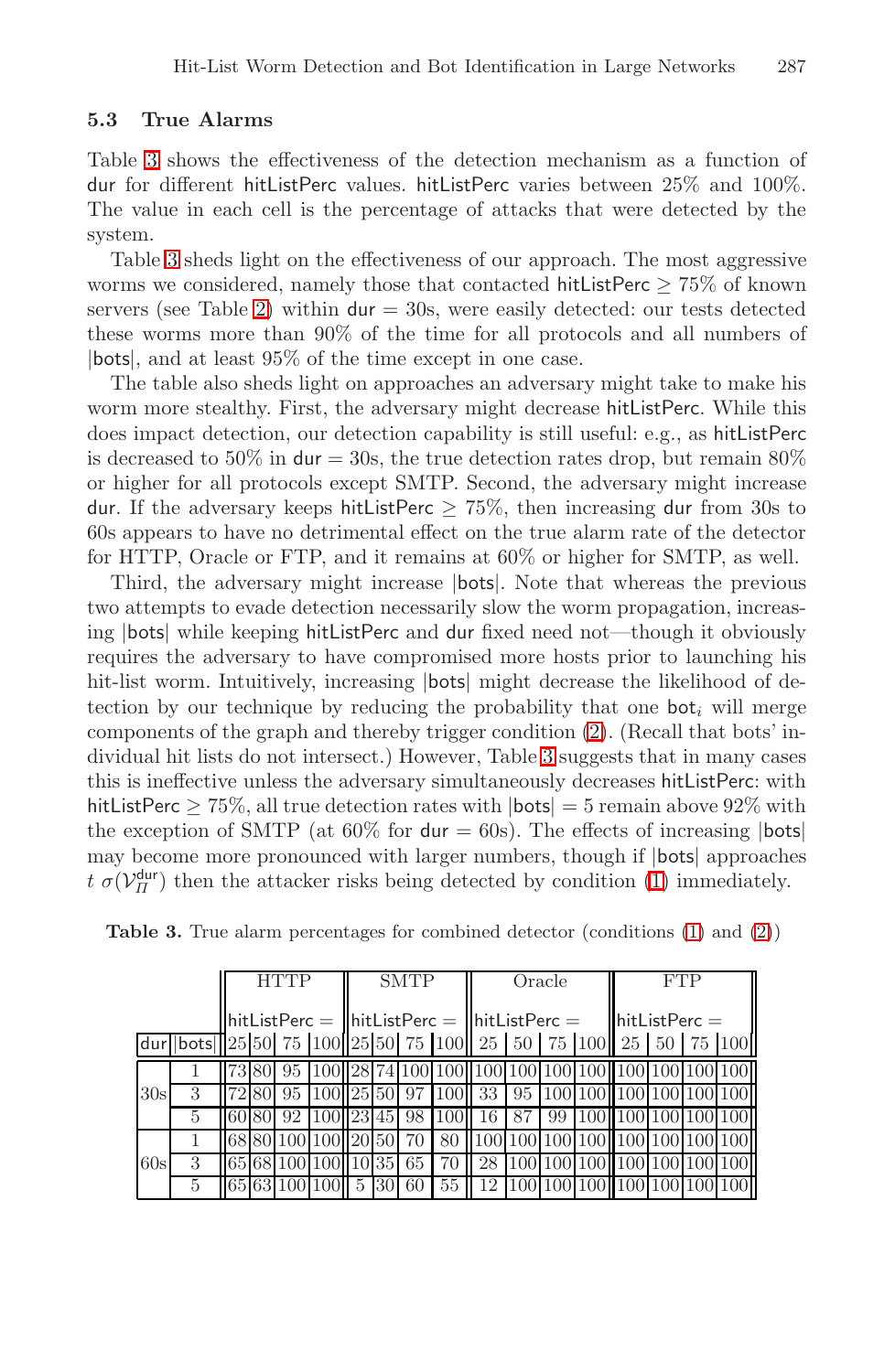#### <span id="page-11-0"></span>**[5](#page-10-1).3 True Alarms**

Table 3 shows the effectiveness of the detection mechanism as a function of dur for different hitListPerc values. hitListPerc varies between 25% and 100%. The value in each cell is the percentage of attacks that were detected by the system.

Table 3 sheds light on the effectiveness of our approach. The most aggressive worms we considered, namely those that contacted hitListPerc  $\geq 75\%$  of known servers (see Table 2) within  $dur = 30s$ , were easily detected: our tests detected these worms more than 90% of the time for all protocols and all numbers of |bots|, and at least 95% of the time except in one case.

The table also sheds light on approaches an adversary might take to make his worm more stealthy. First, the adversary might decrease hitListPerc. While this does impact detection, our detection capability is still useful: e.g., as hitListPerc is decreased to 50% in dur = 30s, the true detection rates drop, but remain  $80\%$ or higher for all protocols except SMTP. Second, the adversary might increase dur. If the adversary keeps hit List Perc  $> 75\%$ , then increasing dur from 30s to 60s appears to have no detrimental [eff](#page-7-1)ect on the true alarm rate of the detector for HTTP, Oracle or FTP, and [it](#page-11-1) remains at 60% or higher for SMTP, as well.

<span id="page-11-1"></span>Third, the adversary might increase |bots|. Note that whereas the previous two attempts to evade detection necessarily slow the worm propagation, increasing |bots| while keeping hitListPerc and dur fixed need not—though it obviously requires the adversary to have compromised more hosts prior to launching his hit-list wor[m](#page-7-1). Intuitively, increasing  $|$ bots $|$  might decrease the likelihood of detection by our technique by reducing the probability that one bot<sub>i</sub> will merge components of the graph and thereby trigger co[nd](#page-7-1)ition [\(2](#page-7-1)). (Recall that bots' individual hit lists do not intersect.) However, Table 3 suggests that in many cases this is ineffective unless the adversary simultaneously decreases hitListPerc: with hitListPerc  $> 75\%$ , all true detection rates with  $|$ bots $| = 5$  remain above 92% with the exception of SMTP (at  $60\%$  for dur =  $60\text{s}$ ). The effects of increasing  $| \text{bots} |$ may become more pronounced with larger numbers, though if |bots| approaches  $t \sigma(\mathcal{V}_{\Pi}^{\text{dur}})$  then the attacker risks being detected by condition (1) immediately.

|     |                                                                                    | <b>HTTP</b> |  |  | <b>SMTP</b>                                            |  |    | Oracle |    |    |    | FTF                |  |  |  |  |                                                    |
|-----|------------------------------------------------------------------------------------|-------------|--|--|--------------------------------------------------------|--|----|--------|----|----|----|--------------------|--|--|--|--|----------------------------------------------------|
|     |                                                                                    |             |  |  | $h$ itListPerc = $\ h$ itListPerc = $\ h$ itListPerc = |  |    |        |    |    |    | $h$ itListPerc $=$ |  |  |  |  |                                                    |
|     | dur  bots   25 50  75  100  25 50  75  100   25   50   75  100   25   50   75  100 |             |  |  |                                                        |  |    |        |    |    |    |                    |  |  |  |  |                                                    |
| 30s |                                                                                    |             |  |  |                                                        |  |    |        |    |    |    |                    |  |  |  |  |                                                    |
|     |                                                                                    | 72.80       |  |  | 95 100 25 50 97 100 33                                 |  |    |        |    |    |    |                    |  |  |  |  | 95 100 100 100 100 100 100                         |
|     | 5                                                                                  |             |  |  | 60 80 92 100 23 45 98 100 16                           |  |    |        |    |    | 87 |                    |  |  |  |  | 99 100 100 100 100 100                             |
| 60s |                                                                                    |             |  |  | 68 80 100 100 20 50                                    |  |    | 70     |    |    |    |                    |  |  |  |  | 80   100   100   100   100   100   100   100   100 |
|     |                                                                                    |             |  |  | 65 68 100 100 10 35                                    |  |    | 65     | 70 | 28 |    |                    |  |  |  |  | 100 100 100 100 100 100 100 100                    |
|     | 5                                                                                  |             |  |  | 65 63 100 100 5                                        |  | 30 | 60     |    |    |    |                    |  |  |  |  | 55   12   100   100   100   100   100   100   100  |

**Table 3.** True alarm percentages for combined detector (conditions (1) and (2))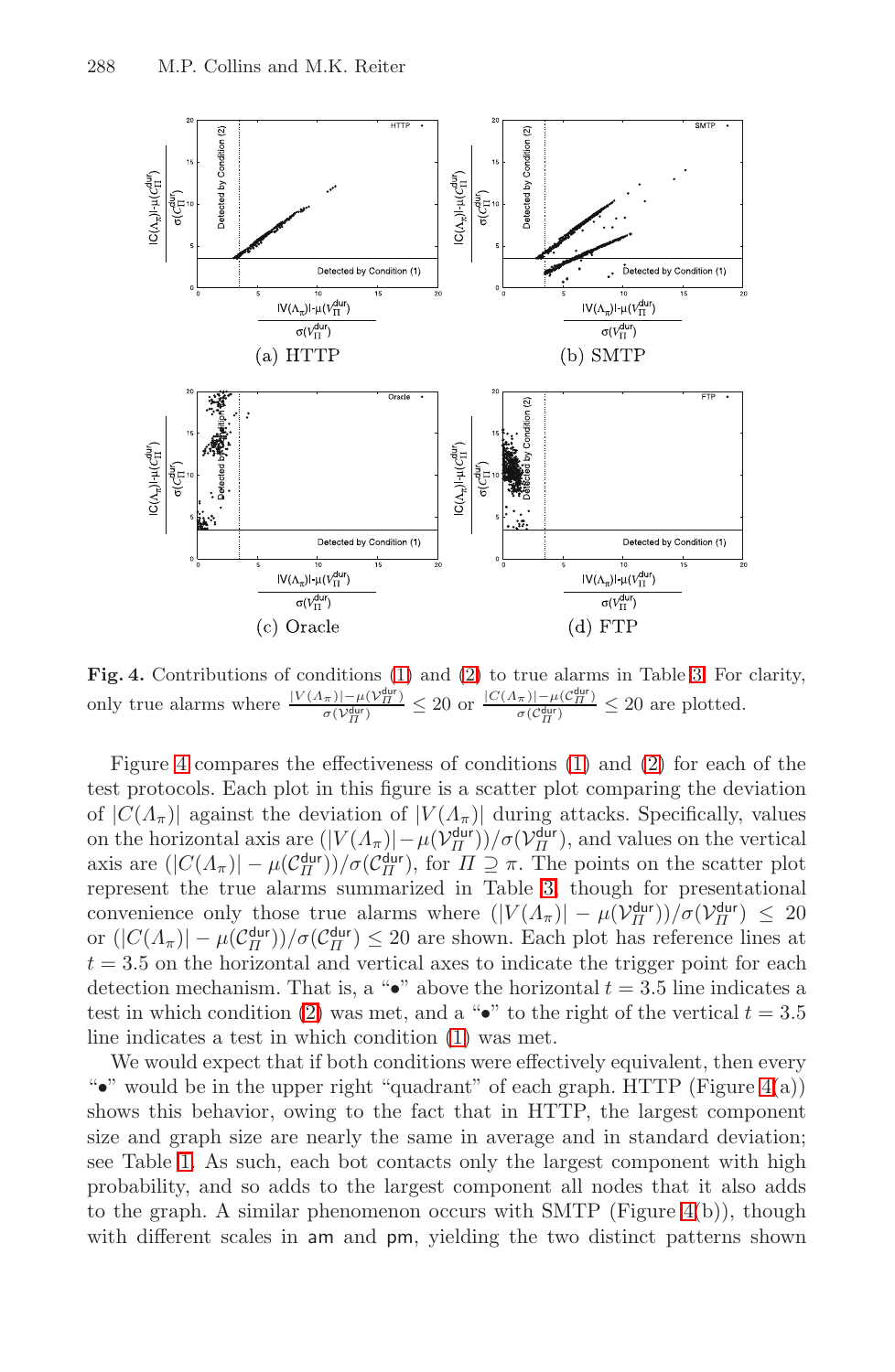

<span id="page-12-0"></span>**Fig. 4.** Contributions of conditions (1) and (2) to true alarms in Table 3. For clarity, only true alarms where  $\frac{|V(A_{\pi})| - \mu(V_{\Pi}^{\text{dur}})}{\sigma(V_{\Pi}^{\text{dur}})} \leq 20$  $\frac{|V(A_{\pi})| - \mu(V_{\Pi}^{\text{dur}})}{\sigma(V_{\Pi}^{\text{dur}})} \leq 20$  $\frac{|V(A_{\pi})| - \mu(V_{\Pi}^{\text{dur}})}{\sigma(V_{\Pi}^{\text{dur}})} \leq 20$  or  $\frac{|C(A_{\pi})| - \mu(C_{\Pi}^{\text{dur}})}{\sigma(C_{\Pi}^{\text{dur}})} \leq 20$  are plotted.

Figure 4 compares the effectiveness of conditions (1) and (2) for each of the test protocols. Each plot in this figure is a scatter plot comparing the deviation of  $|C(\Lambda_{\pi})|$  $|C(\Lambda_{\pi})|$  $|C(\Lambda_{\pi})|$  against the deviation of  $|V(\Lambda_{\pi})|$  during attacks. Specifically, values on the horizontal axi[s a](#page-7-1)re  $(|V(A_{\pi})| - \mu(V_{\Pi}^{\text{dur}})/\sigma(V_{\Pi}^{\text{dur}})$ , and values on the vertical axis are  $(|C(\Lambda_{\pi})| - \mu(\mathcal{C}_{\Pi}^{\text{dur}})/\sigma(\mathcal{C}_{\Pi}^{\text{dur}})$ , for  $\Pi \supseteq \pi$ . The points on the scatter plot represent the true alarms summarized in Table 3, t[hou](#page-12-0)gh for presentational convenience only those true alarms where  $(|V(A_{\pi})| - \mu(V_{\Pi}^{\text{dur}}))/\sigma(V_{\Pi}^{\text{dur}}) \leq 20$ or  $(|C(\Lambda_{\pi})| - \mu(\mathcal{C}_{\Pi}^{\text{dur}})/\sigma(\mathcal{C}_{\Pi}^{\text{dur}}) \leq 20$  are shown. Each plot has reference lines at  $t = 3.5$  on the horizontal and vertical axes to indicate the trigger point for each detection mechanism. That is, a " $\bullet$ " above the horizontal  $t = 3.5$  line indicates a test in which condition (2) was met, and a " $\bullet$ " [to](#page-12-0) the right of the vertical  $t = 3.5$ line indicates a test in which condition (1) was met.

We would expect that if both conditions were effectively equivalent, then every "•" would be in the upper right "quadrant" of each graph. HTTP (Figure  $4(a)$ ) shows this behavior, owing to the fact that in HTTP, the largest component size and graph size are nearly the same in average and in standard deviation; see Table 1. As such, each bot contacts only the largest component with high probability, and so adds to the largest component all nodes that it also adds to the graph. A similar phenomenon occurs with SMTP (Figure 4(b)), though with different scales in am and pm, yielding the two distinct patterns shown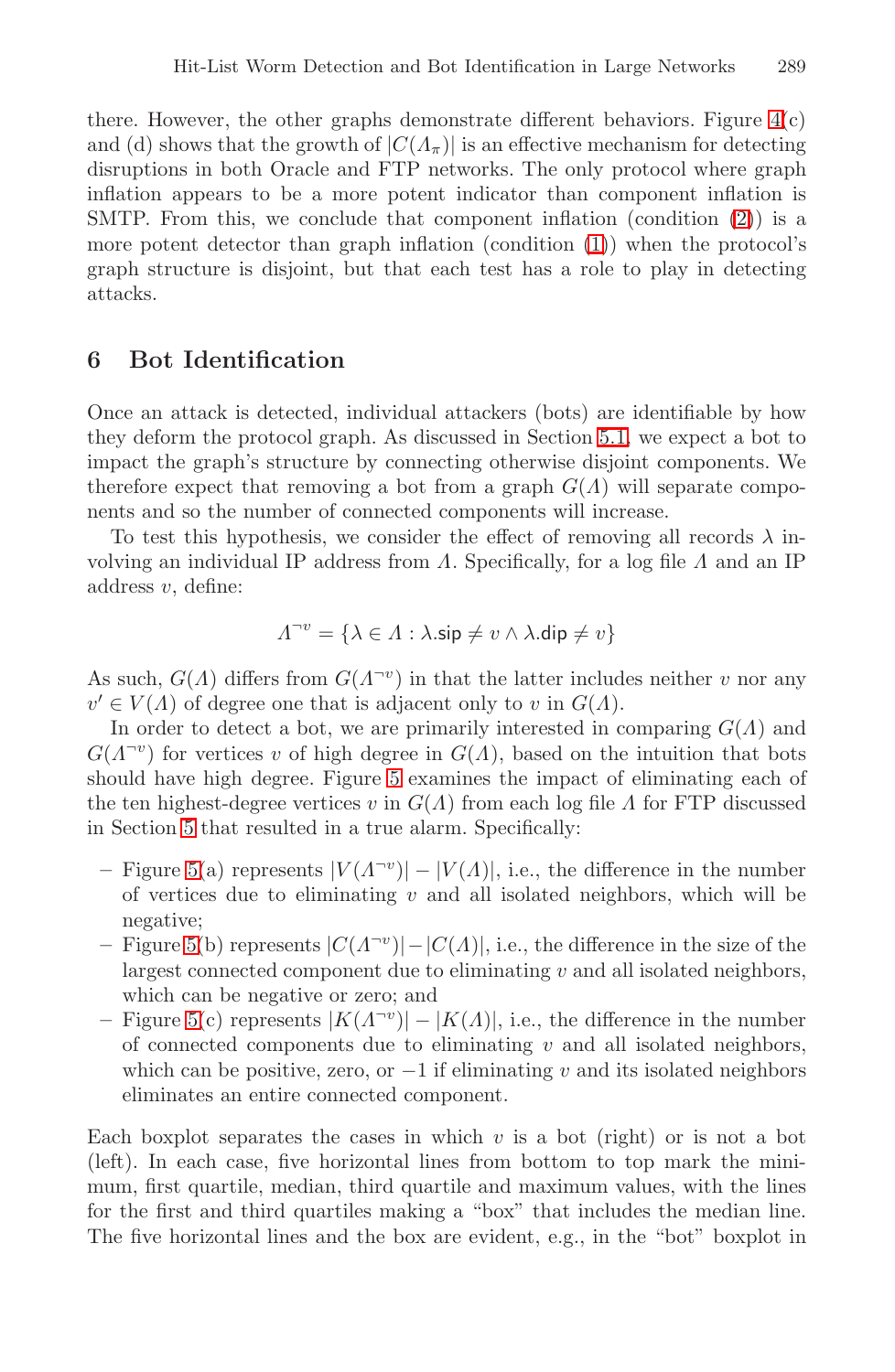<span id="page-13-0"></span>there. However, the other graphs demonstrate different behaviors. Figure  $4(c)$ and (d) shows that the growth of  $|C(\Lambda_{\pi})|$  is an effective mechanism for detecting disruptions in both Oracle and FTP networks. The only protocol where graph inflation appears to be a more potent indicator than component inflation is SMTP. From this, we conclude that component inflation (condition (2)) is a more potent detector than graph in[flatio](#page-8-1)n (condition  $(1)$ ) when the protocol's graph structure is disjoint, but that each test has a role to play in detecting attacks.

### **6 Bot Identification**

Once an attack is detected, individual attackers (bots) are identifiable by how they deform the protocol graph. As discussed in Section 5.1, we expect a bot to impact the graph's structure by connecting otherwise disjoint components. We therefore expect that removing a bot from a graph  $G(\Lambda)$  will separate components and so the number of connected components will increase.

To test this hypothesis, we consider the effect of removing all records  $\lambda$  involving an individual IP address from  $\Lambda$ . Specifically, for a log file  $\Lambda$  and an IP address v, de[fine](#page-14-0):

$$
\Lambda^{-v} = \{ \lambda \in \Lambda : \lambda.\mathsf{sip} \neq v \land \lambda.\mathsf{dip} \neq v \}
$$

As such,  $G(\Lambda)$  differs from  $G(\Lambda^{-v})$  in that the latter includes neither v nor any  $v' \in V(\Lambda)$  of degree one that is adjacent only to v in  $G(\Lambda)$ .

In order to detect a bot, we are primarily interested in comparing  $G(\Lambda)$  and  $G(\Lambda^{-v})$  for vertices v of high degree in  $G(\Lambda)$ , based on the intuition that bots should have high degree. Figure 5 examines the impact of eliminating each of the ten highest-degree vertices v in  $G(\Lambda)$  from each log file  $\Lambda$  for FTP discussed in Section 5 that resulted in a true alarm. Specifically:

- $-$  Figure 5(a) represents  $|V(A^{-v})| |V(A)|$ , i.e., the difference in the number of vertices due to eliminating  $v$  and all isolated neighbors, which will be negative;
- **–** Figure 5(b) represents |C(Λ¬<sup>v</sup>)|−|C(Λ)|, i.e., the difference in the size of the largest connected component due to eliminating  $v$  and all isolated neighbors, which can be negative or zero; and
- $-$  Figure 5(c) represents  $|K(\Lambda^{-v})| |K(\Lambda)|$ , i.e., the difference in the number of connected components due to eliminating  $v$  and all isolated neighbors, which can be positive, zero, or  $-1$  if eliminating v and its isolated neighbors eliminates an entire connected component.

Each boxplot separates the cases in which  $v$  is a bot (right) or is not a bot (left). In each case, five horizontal lines from bottom to top mark the minimum, first quartile, median, third quartile and maximum values, with the lines for the first and third quartiles making a "box" that includes the median line. The five horizontal lines and the box are evident, e.g., in the "bot" boxplot in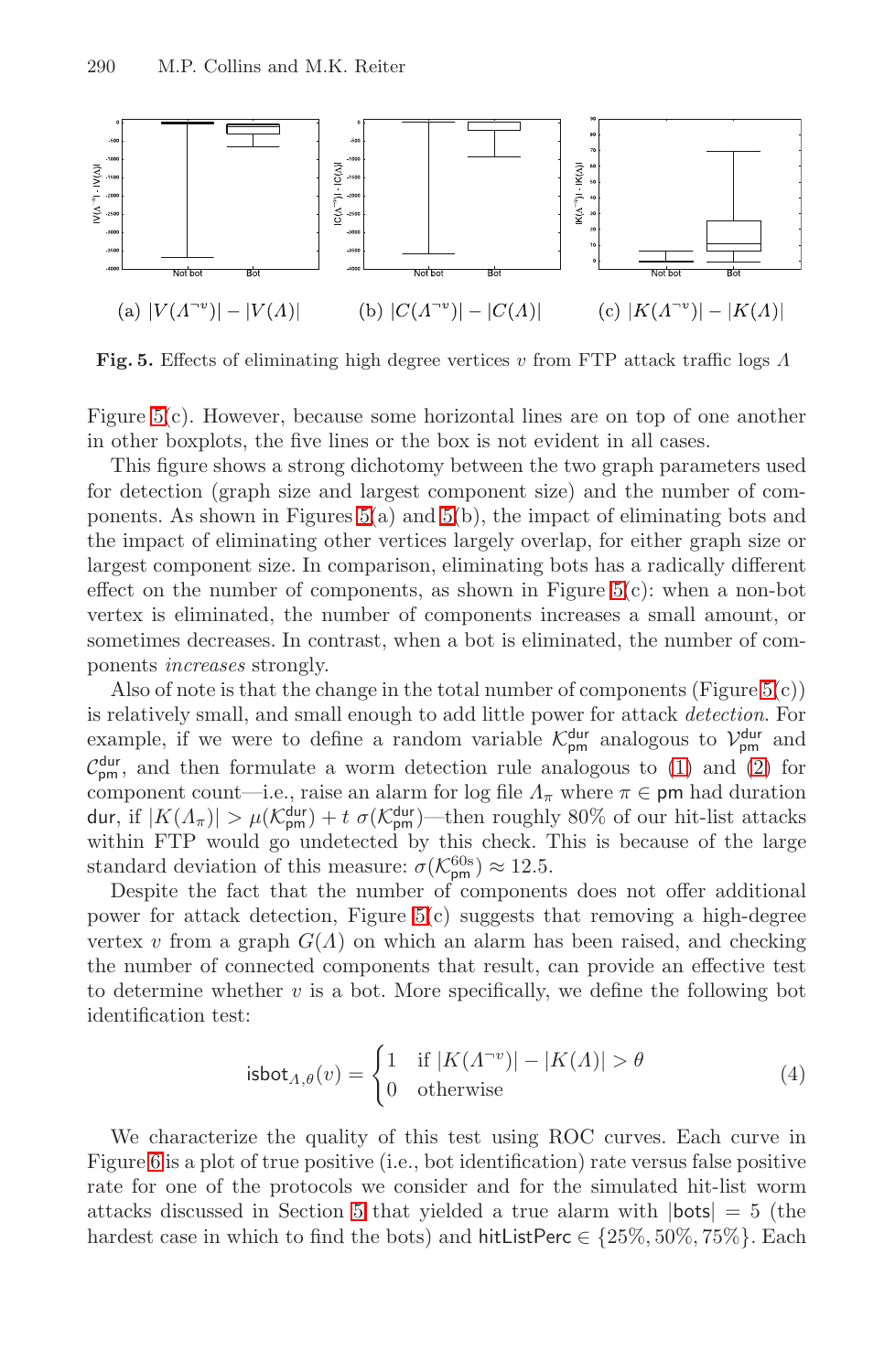<span id="page-14-0"></span>

**Fig. 5.** Effects of eliminating high degree vertices v from FTP attack traffic logs Λ

Figure 5(c). However, because some h[ori](#page-14-0)zontal lines are on top of one another in other boxplots, the five lines or the box is not evident in all cases.

This figure shows a strong dichotomy between the two graph parameters used for detection (graph size and largest component size) [an](#page-14-0)d the number of components. As shown in Figures 5(a) and 5(b), the impact of eliminating bots and the impact of eliminating other vertices largely overlap, for either graph size or largest component size. In comparison, elimin[at](#page-7-1)ing bo[ts](#page-7-1) has a radically different effect on the number of components, as shown in Figure  $5(c)$ : when a non-bot vertex is eliminated, the number of components increases a small amount, or sometimes decreases. In contrast, when a bot is eliminated, the number of components increases strongly.

Also of note is that the change in the total number of components (Figure  $5(c)$ ) is relatively smal[l, a](#page-14-0)nd small enough to add little power for attack detection. For example, if we were to define a random variable  $\mathcal{K}_{pm}^{dur}$  analogous to  $\mathcal{V}_{pm}^{dur}$  and  $\mathcal{C}_{\text{pm}}^{\text{dur}}$ , and then formulate a worm detection rule analogous to (1) and (2) for component count—i.e., raise an alarm for log file  $\Lambda_{\pi}$  where  $\pi \in \mathsf{pm}$  had duration dur, if  $|K(\Lambda_{\pi})| > \mu(\mathcal{K}_{\text{pm}}^{\text{dur}}) + t \sigma(\mathcal{K}_{\text{pm}}^{\text{dur}})$ —then roughly 80% of our hit-list attacks within FTP would go undetected by this check. This is because of the large standard deviation of this measure:  $\sigma(\mathcal{K}_{\text{pm}}^{60s}) \approx 12.5$ .

<span id="page-14-1"></span>Despite the fact that the number of components does not offer additional power for attack detection, Figure  $5(c)$  suggests that removing a high-degree vertex v from a graph  $G(\Lambda)$  on which an alarm has been raised, and checking the number of connected components that result, can provide an effective test to determine whether  $v$  is a bot. More specifically, we define the following bot identificat[ion](#page-8-0) test:

isbot<sub>A,θ</sub>(v) =   
\n
$$
\begin{cases}\n1 & \text{if } |K(\Lambda^{-v})| - |K(\Lambda)| > \theta \\
0 & \text{otherwise}\n\end{cases}
$$
\n(4)

We characterize the quality of this test using ROC curves. Each curve in Figure 6 is a plot of true positive (i.e., bot identification) rate versus false positive rate for one of the protocols we consider and for the simulated hit-list worm attacks discussed in Section 5 that yielded a true alarm with  $|{\text{bots}}| = 5$  (the hardest case in which to find the bots) and hitListPerc  $\in \{25\%, 50\%, 75\%\}$ . Each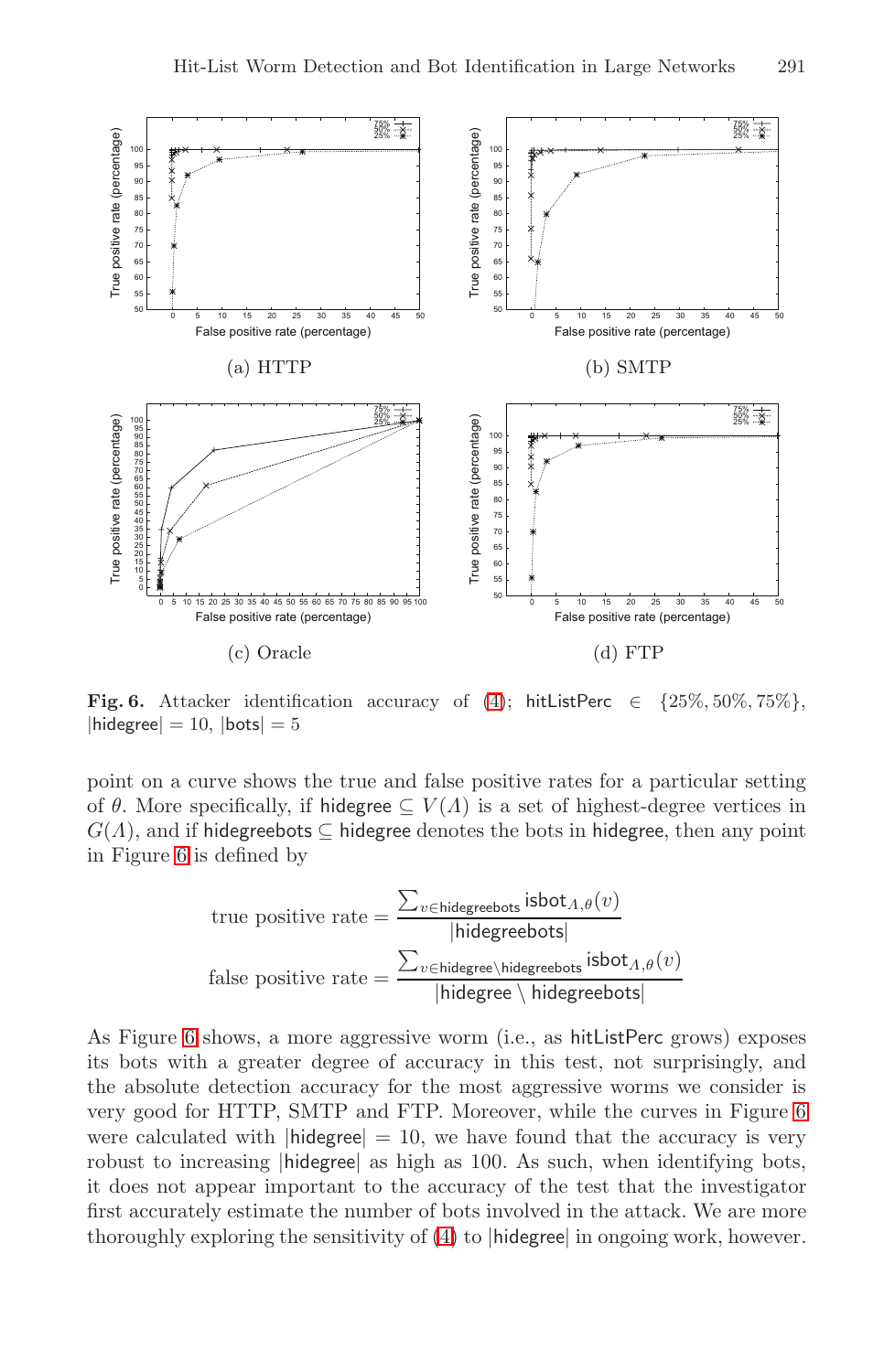

**Fig. 6.** Attacker identification accuracy of (4); hitListPerc  $\in \{25\%, 50\%, 75\%\},\$  $|$ hidegree $| = 10$ ,  $|$ bots $| = 5$ 

point on a curve shows the true and false positive rates for a particular setting of θ. More specifically, if hidegree  $\subset V(\Lambda)$  is a set of highest-degree vertices in  $G(\Lambda)$ , and if hidegreebots  $\subseteq$  hidegree denotes the bots in hidegree, then any point in Figure 6 is defined by

$$
\text{true positive rate} = \frac{\sum_{v \in \text{hidegreebots}} \text{isbot}_{A, \theta}(v)}{|\text{hidegreebots}|}
$$
\n
$$
\text{false positive rate} = \frac{\sum_{v \in \text{hidegreebots}} \text{isbot}_{A, \theta}(v)}{|\text{hidegreebots}|}
$$

As Figure 6 shows, [a](#page-14-1) more aggressive worm (i.e., as hitListPerc grows) exposes its bots with a greater degree of accuracy in this test, not surprisingly, and the absolute detection accuracy for the most aggressive worms we consider is very good for HTTP, SMTP and FTP. Moreover, while the curves in Figure 6 were calculated with  $|$ hidegree $| = 10$ , we have found that the accuracy is very robust to increasing |hidegree| as high as 100. As such, when identifying bots, it does not appear important to the accuracy of the test that the investigator first accurately estimate the number of bots involved in the attack. We are more thoroughly exploring the sensitivity of (4) to |hidegree| in ongoing work, however.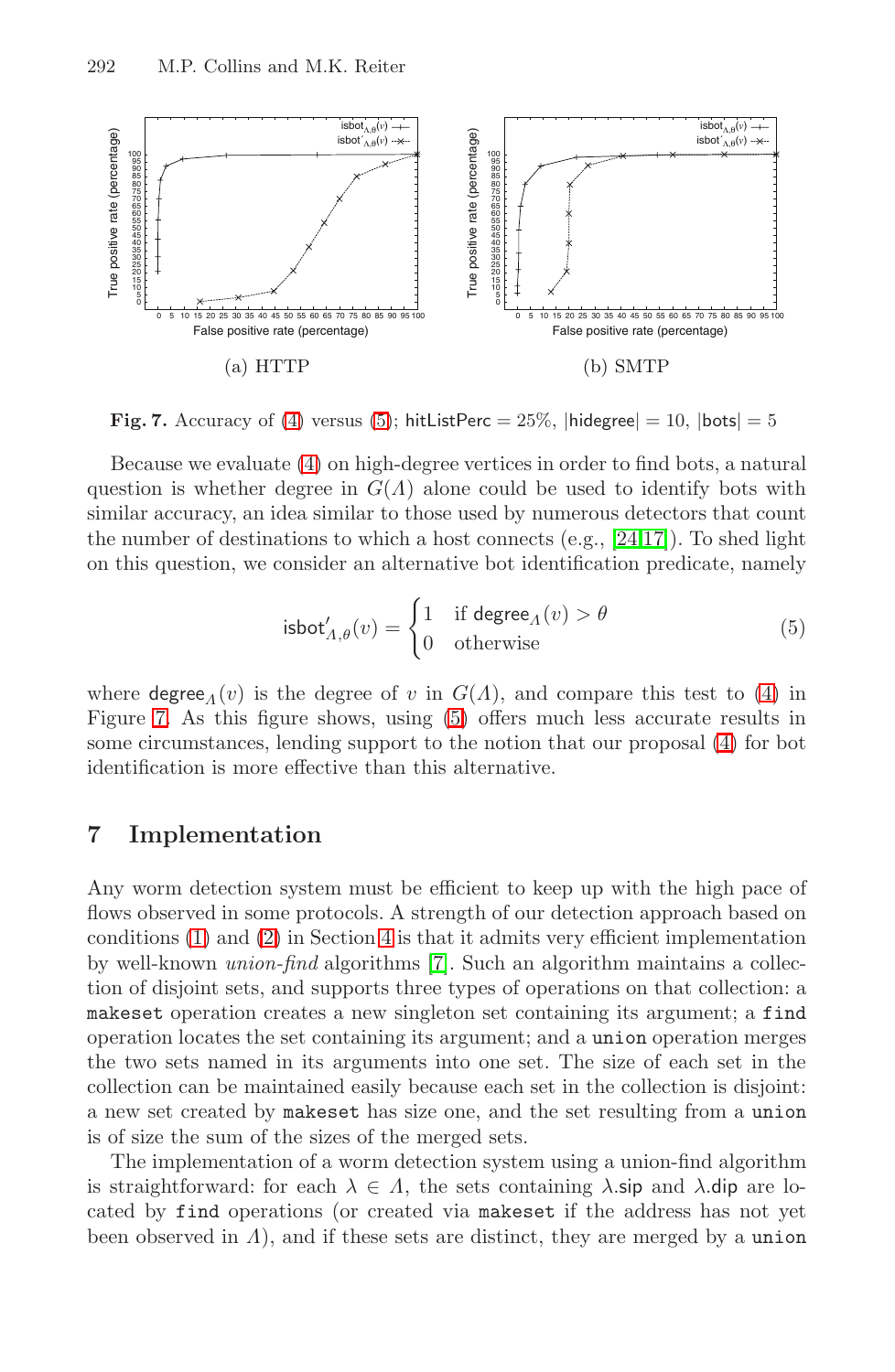

**Fig. 7.** Accuracy of (4) versus (5); hitListPerc =  $25\%$ , |hidegree| = 10, |bots| =  $5$ 

Because we evaluate (4) on high-degree vertices in order to find bots, a natural question is whether degree in  $G(\Lambda)$  alone could be us[ed](#page-14-1) to identify bots with similar accuracy, an i[de](#page-16-1)a similar to those used by numerous detectors that count the number of destinations to which a host connect[s \(](#page-14-1)e.g.,  $[24,17]$ ). To shed light on this question, we consider an alternative bot identification predicate, namely

<span id="page-16-1"></span>isbot'<sub>A,θ</sub>(v) = 
$$
\begin{cases} 1 & \text{if degree}_A(v) > \theta \\ 0 & \text{otherwise} \end{cases}
$$
 (5)

<span id="page-16-0"></span>where degree<sub>Λ</sub>(v) is the degree of v in  $G(\Lambda)$ , and compare this test to (4) in Figure 7. As this figure shows, using (5) offers much less accurate results in [so](#page-7-1)me circum[sta](#page-5-1)nces, lending support to the notion that our proposal (4) for bot identification is m[ore](#page-18-1) effective than this alternative.

## **7 Implementation**

Any worm detection system must be efficient to keep up with the high pace of flows observed in some protocols. A strength of our detection approach based on conditions (1) and (2) in Section 4 is that it admits very efficient implementation by well-known union-find algorithms [7]. Such an algorithm maintains a collection of disjoint sets, and supports three types of operations on that collection: a makeset operation creates a new singleton set containing its argument; a find operation locates the set containing its argument; and a union operation merges the two sets named in its arguments into one set. The size of each set in the collection can be maintained easily because each set in the collection is disjoint: a new set created by makeset has size one, and the set resulting from a union is of size the sum of the sizes of the merged sets.

The implementation of a worm detection system using a union-find algorithm is straightforward: for each  $\lambda \in \Lambda$ , the sets containing  $\lambda$  sip and  $\lambda$  dip are located by find operations (or created via makeset if the address has not yet been observed in  $\Lambda$ ), and if these sets are distinct, they are merged by a union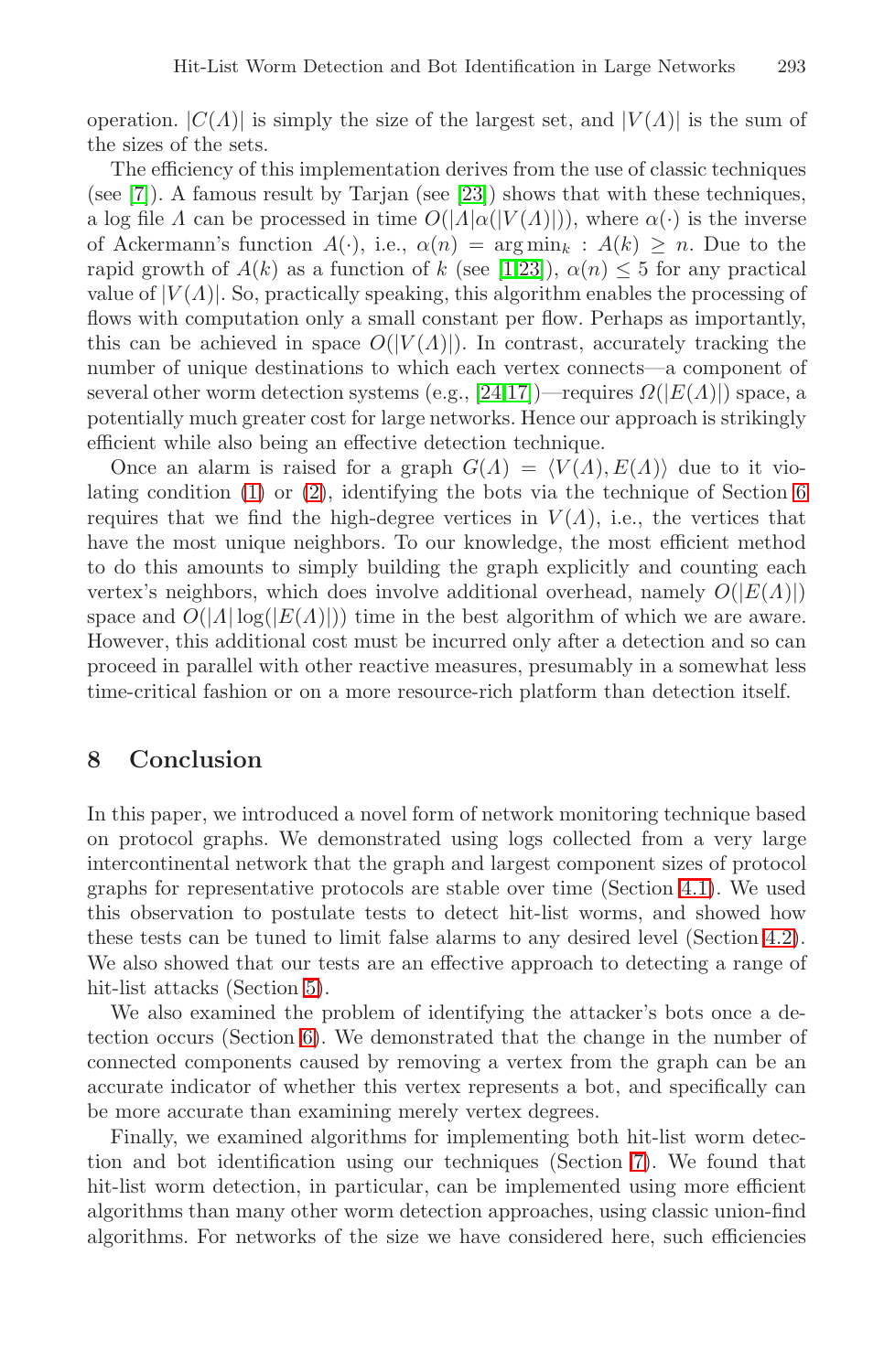operation.  $|C(\Lambda)|$  is simply the size of the largest set, and  $|V(\Lambda)|$  is the sum of the sizes of the sets.

The efficiency of this implementation derives from the use of classic techniques (see [7]). A famous resul[t b](#page-19-0)[y T](#page-19-2)arjan (see [23]) shows that with these techniques, a log file  $\Lambda$  can be processed in time  $O(|\Lambda|\alpha(|V(\Lambda)|))$ , where  $\alpha(\cdot)$  is the inverse of Ackermann's function  $A(\cdot)$ , i.e.,  $\alpha(n) = \arg \min_k : A(k) \geq n$ . Due to the rapid growth of  $A(k)$  as a function of k (see [1,23]),  $\alpha(n) \leq 5$  for any practical [v](#page-7-1)alue [of](#page-7-1)  $|V(A)|$ . So, practically speaking, this algorithm ena[ble](#page-13-0)s the processing of flows with computation only a small constant per flow. Perhaps as importantly, this can be achieved in space  $O(|V(\Lambda)|)$ . In contrast, accurately tracking the number of unique destinations to which each vertex connects—a component of several other worm detection systems (e.g., [24,17])—requires  $\Omega(|E(A)|)$  space, a potentially much greater cost for large networks. Hence our approach is strikingly efficient while also being an effective detection technique.

Once an alarm is raised for a graph  $G(\Lambda) = \langle V(\Lambda), E(\Lambda) \rangle$  due to it violating condition (1) or (2), identifying the bots via the technique of Section 6 requires that we find the high-degree vertices in  $V(\Lambda)$ , i.e., the vertices that have the most unique neighbors. To our knowledge, the most efficient method to do this amounts to simply building the graph explicitly and counting each vertex's neighbors, which does involve additional overhead, namely  $O(|E(A)|)$ space and  $O(|A| \log(|E(A)|))$  time in the best algorithm of which we are aware. However, this additional cost must be incurred only after a detection and so can proceed in parallel with other reactive measures, presumably in a somewhat less time-critical fashion or on a more resource-ric[h pla](#page-5-0)tform than detection itself.

### **8 Conclusion**

In this paper, we introduced a novel form of network monitoring technique based on [pro](#page-13-0)tocol graphs. We demonstrated using logs collected from a very large intercontinental network that the graph and largest component sizes of protocol graphs for representative protocols are stable over time (Section 4.1). We used this observation to postulate tests to detect hit-list worms, and showed how these tests can be tuned to limit false alarms to any desired level (Section 4.2). We also showed that our tests are an eff[ect](#page-16-0)ive approach to detecting a range of hit-list attacks (Section 5).

We also examined the problem of identifying the attacker's bots once a detection occurs (Section 6). We demonstrated that the change in the number of connected components caused by removing a vertex from the graph can be an accurate indicator of whether this vertex represents a bot, and specifically can be more accurate than examining merely vertex degrees.

Finally, we examined algorithms for implementing both hit-list worm detection and bot identification using our techniques (Section 7). We found that hit-list worm detection, in particular, can be implemented using more efficient algorithms than many other worm detection approaches, using classic union-find algorithms. For networks of the size we have considered here, such efficiencies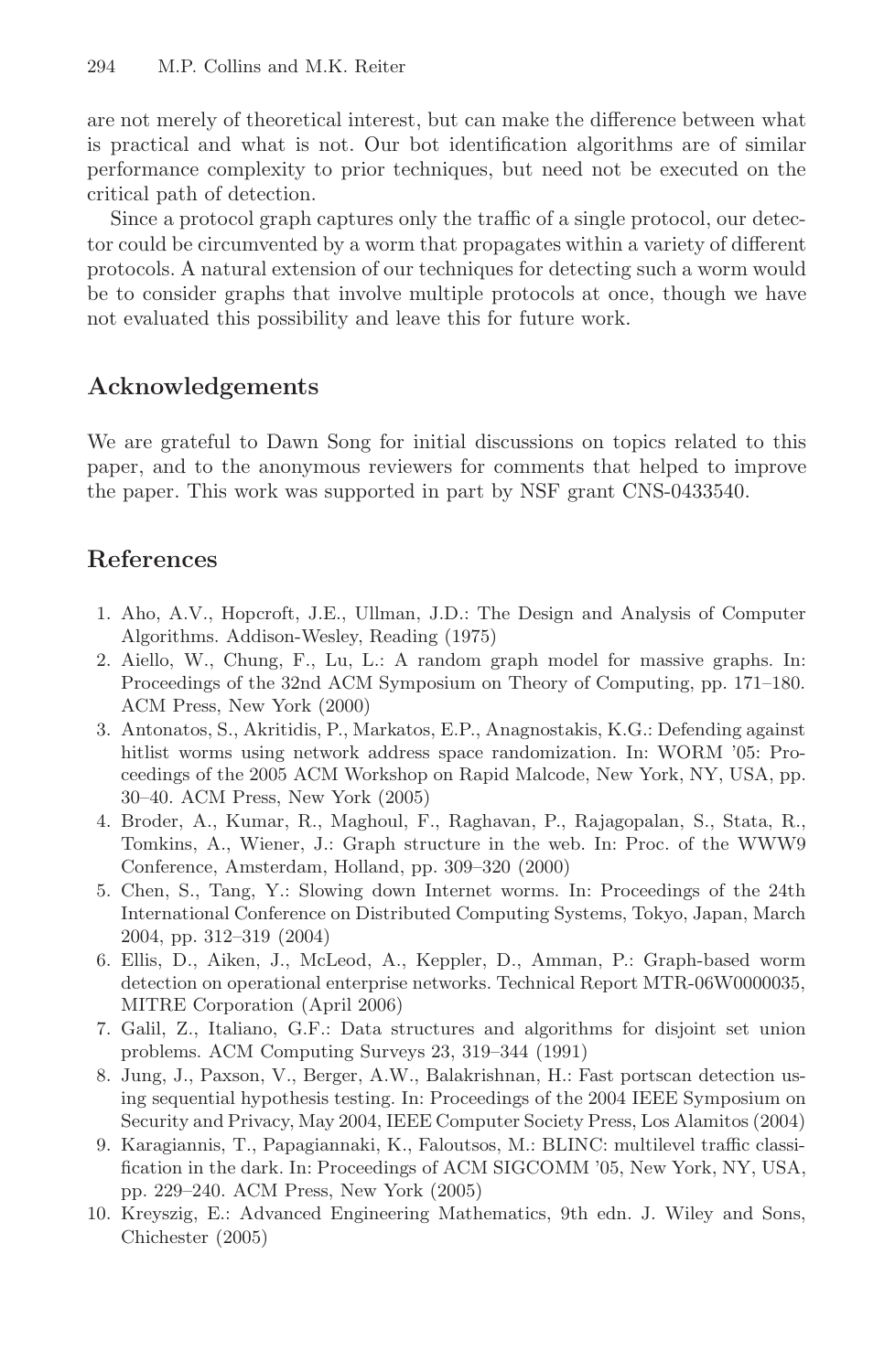are not merely of theoretical interest, but can make the difference between what is practical and what is not. Our bot identification algorithms are of similar performance complexity to prior techniques, but need not be executed on the critical path of detection.

Since a protocol graph captures only the traffic of a single protocol, our detector could be circumvented by a worm that propagates within a variety of different protocols. A natural extension of our techniques for detecting such a worm would be to consider graphs that involve multiple protocols at once, though we have not evaluated this possibility and leave this for future work.

# **Acknowledgements**

We are grateful to Dawn Song for initial discussions on topics related to this paper, and to the anonymous reviewers for comments that helped to improve the paper. This work was supported in part by NSF grant CNS-0433540.

# <span id="page-18-5"></span>**References**

- 1. Aho, A.V., Hopcroft, J.E., Ullman, J.D.: The Design and Analysis of Computer Algorithms. Addison-Wesley, Reading (1975)
- 2. Aiello, W., Chung, F., Lu, L.: A random graph model for massive graphs. In: Proceedings of the 32nd ACM Symposium on Theory of Computing, pp. 171–180. ACM Press, New York (2000)
- <span id="page-18-0"></span>3. Antonatos, S., Akritidis, P., Markatos, E.P., Anagnostakis, K.G.: Defending against hitlist worms using network address space randomization. In: WORM '05: Proceedings of the 2005 ACM Workshop on Rapid Malcode, New York, NY, USA, pp. 30–40. ACM Press, New York (2005)
- 4. Broder, A., Kumar, R., Maghoul, F., Raghavan, P., Rajagopalan, S., Stata, R., Tomkins, A., Wiener, J.: Graph structure in the web. In: Proc. of the WWW9 Conference, Amsterdam, Holland, pp. 309–320 (2000)
- 5. Chen, S., Tang, Y.: Slowing down Internet worms. In: Proceedings of the 24th International Conference on Distributed Computing Systems, Tokyo, Japan, March 2004, pp. 312–319 (2004)
- <span id="page-18-2"></span>6. Ellis, D., Aiken, J., McLeod, A., Keppler, D., Amman, P.: Graph-based worm detection on operational enterprise networks. Technical Report MTR-06W0000035, MITRE Corporation (April 2006)
- <span id="page-18-1"></span>7. Galil, Z., Italiano, G.F.: Data structures and algorithms for disjoint set union problems. ACM Computing Surveys 23, 319–344 (1991)
- <span id="page-18-4"></span>8. Jung, J., Paxson, V., Berger, A.W., Balakrishnan, H.: Fast portscan detection using sequential hypothesis testing. In: Proceedings of the 2004 IEEE Symposium on Security and Privacy, May 2004, IEEE Computer Society Press, Los Alamitos (2004)
- <span id="page-18-3"></span>9. Karagiannis, T., Papagiannaki, K., Faloutsos, M.: BLINC: multilevel traffic classification in the dark. In: Proceedings of ACM SIGCOMM '05, New York, NY, USA, pp. 229–240. ACM Press, New York (2005)
- 10. Kreyszig, E.: Advanced Engineering Mathematics, 9th edn. J. Wiley and Sons, Chichester (2005)